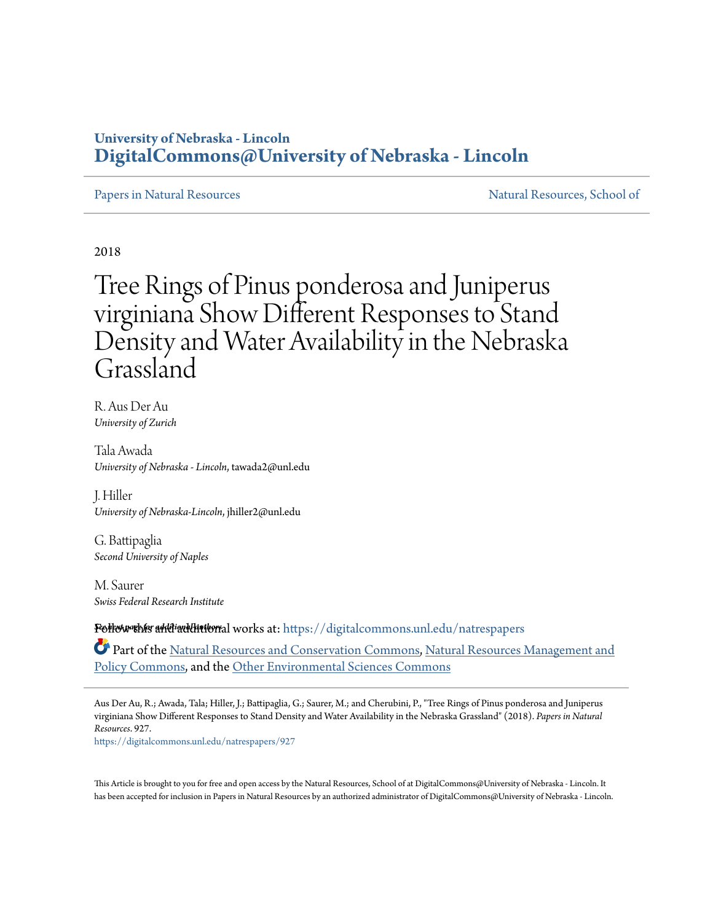### **University of Nebraska - Lincoln [DigitalCommons@University of Nebraska - Lincoln](https://digitalcommons.unl.edu?utm_source=digitalcommons.unl.edu%2Fnatrespapers%2F927&utm_medium=PDF&utm_campaign=PDFCoverPages)**

[Papers in Natural Resources](https://digitalcommons.unl.edu/natrespapers?utm_source=digitalcommons.unl.edu%2Fnatrespapers%2F927&utm_medium=PDF&utm_campaign=PDFCoverPages) and Secure 2012 1999 Matural Resources, School of

2018

# Tree Rings of Pinus ponderosa and Juniperus virginiana Show Different Responses to Stand Density and Water Availability in the Nebraska Grassland

R. Aus Der Au *University of Zurich*

Tala Awada *University of Nebraska - Lincoln*, tawada2@unl.edu

J. Hiller *University of Nebraska-Lincoln*, jhiller2@unl.edu

G. Battipaglia *Second University of Naples*

M. Saurer *Swiss Federal Research Institute*

**Follow this andiad intitude for all works at: [https://digitalcommons.unl.edu/natrespapers](https://digitalcommons.unl.edu/natrespapers?utm_source=digitalcommons.unl.edu%2Fnatrespapers%2F927&utm_medium=PDF&utm_campaign=PDFCoverPages)** 

Part of the [Natural Resources and Conservation Commons,](http://network.bepress.com/hgg/discipline/168?utm_source=digitalcommons.unl.edu%2Fnatrespapers%2F927&utm_medium=PDF&utm_campaign=PDFCoverPages) [Natural Resources Management and](http://network.bepress.com/hgg/discipline/170?utm_source=digitalcommons.unl.edu%2Fnatrespapers%2F927&utm_medium=PDF&utm_campaign=PDFCoverPages) [Policy Commons](http://network.bepress.com/hgg/discipline/170?utm_source=digitalcommons.unl.edu%2Fnatrespapers%2F927&utm_medium=PDF&utm_campaign=PDFCoverPages), and the [Other Environmental Sciences Commons](http://network.bepress.com/hgg/discipline/173?utm_source=digitalcommons.unl.edu%2Fnatrespapers%2F927&utm_medium=PDF&utm_campaign=PDFCoverPages)

Aus Der Au, R.; Awada, Tala; Hiller, J.; Battipaglia, G.; Saurer, M.; and Cherubini, P., "Tree Rings of Pinus ponderosa and Juniperus virginiana Show Different Responses to Stand Density and Water Availability in the Nebraska Grassland" (2018). *Papers in Natural Resources*. 927. [https://digitalcommons.unl.edu/natrespapers/927](https://digitalcommons.unl.edu/natrespapers/927?utm_source=digitalcommons.unl.edu%2Fnatrespapers%2F927&utm_medium=PDF&utm_campaign=PDFCoverPages)

This Article is brought to you for free and open access by the Natural Resources, School of at DigitalCommons@University of Nebraska - Lincoln. It has been accepted for inclusion in Papers in Natural Resources by an authorized administrator of DigitalCommons@University of Nebraska - Lincoln.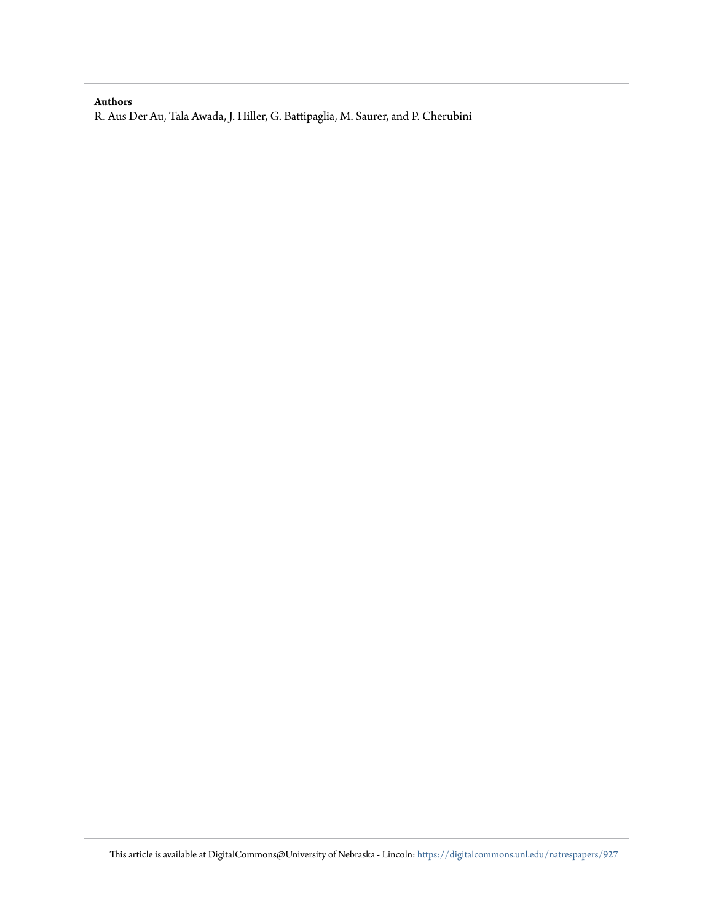### **Authors**

R. Aus Der Au, Tala Awada, J. Hiller, G. Battipaglia, M. Saurer, and P. Cherubini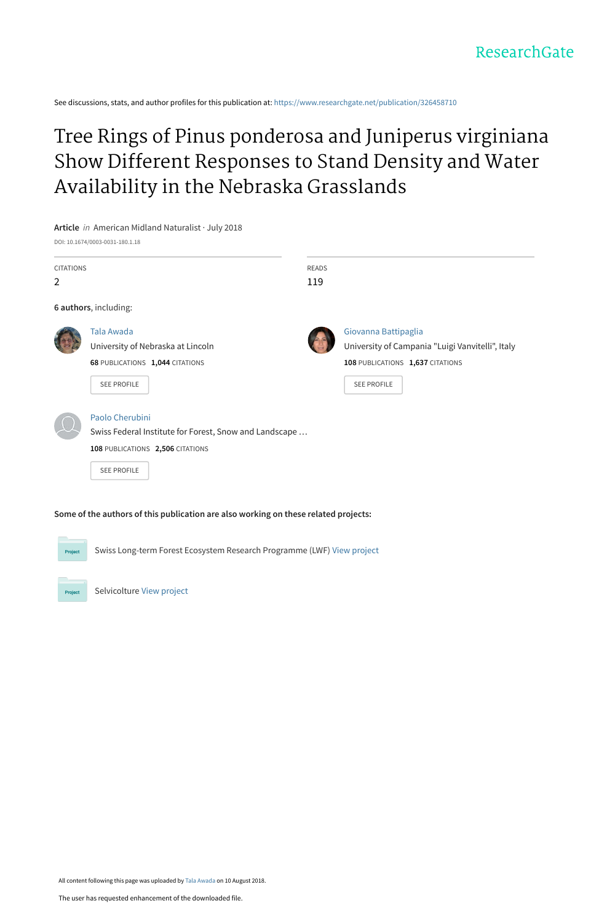See discussions, stats, and author profiles for this publication at: [https://www.researchgate.net/publication/326458710](https://www.researchgate.net/publication/326458710_Tree_Rings_of_Pinus_ponderosa_and_Juniperus_virginiana_Show_Different_Responses_to_Stand_Density_and_Water_Availability_in_the_Nebraska_Grasslands?enrichId=rgreq-1d0198d24a4cdbc270d4ffa04c791c0d-XXX&enrichSource=Y292ZXJQYWdlOzMyNjQ1ODcxMDtBUzo2NTgwOTg4OTczMTc4OTJAMTUzMzkxNDQxMjYzOA%3D%3D&el=1_x_2&_esc=publicationCoverPdf)

## [Tree Rings of Pinus ponderosa and Juniperus virginiana](https://www.researchgate.net/publication/326458710_Tree_Rings_of_Pinus_ponderosa_and_Juniperus_virginiana_Show_Different_Responses_to_Stand_Density_and_Water_Availability_in_the_Nebraska_Grasslands?enrichId=rgreq-1d0198d24a4cdbc270d4ffa04c791c0d-XXX&enrichSource=Y292ZXJQYWdlOzMyNjQ1ODcxMDtBUzo2NTgwOTg4OTczMTc4OTJAMTUzMzkxNDQxMjYzOA%3D%3D&el=1_x_3&_esc=publicationCoverPdf) Show Different Responses to Stand Density and Water Availability in the Nebraska Grasslands

**Article** in American Midland Naturalist · July 2018

DOI: 10.1674/0003-0031-180.1.18

| <b>CITATIONS</b><br>$\overline{2}$ |                                                        | <b>READS</b><br>119 |                                                  |
|------------------------------------|--------------------------------------------------------|---------------------|--------------------------------------------------|
|                                    | 6 authors, including:                                  |                     |                                                  |
|                                    |                                                        |                     |                                                  |
|                                    | Tala Awada                                             |                     | Giovanna Battipaglia                             |
|                                    | University of Nebraska at Lincoln                      |                     | University of Campania "Luigi Vanvitelli", Italy |
|                                    | 68 PUBLICATIONS 1,044 CITATIONS                        |                     | 108 PUBLICATIONS 1,637 CITATIONS                 |
|                                    | <b>SEE PROFILE</b>                                     |                     | <b>SEE PROFILE</b>                               |
|                                    | Paolo Cherubini                                        |                     |                                                  |
|                                    | Swiss Federal Institute for Forest, Snow and Landscape |                     |                                                  |
|                                    | 108 PUBLICATIONS 2,506 CITATIONS                       |                     |                                                  |
|                                    | SEE PROFILE                                            |                     |                                                  |
|                                    |                                                        |                     |                                                  |

**Some of the authors of this publication are also working on these related projects:**

Swiss Long-term Forest Ecosystem Research Programme (LWF) [View project](https://www.researchgate.net/project/Swiss-Long-term-Forest-Ecosystem-Research-Programme-LWF?enrichId=rgreq-1d0198d24a4cdbc270d4ffa04c791c0d-XXX&enrichSource=Y292ZXJQYWdlOzMyNjQ1ODcxMDtBUzo2NTgwOTg4OTczMTc4OTJAMTUzMzkxNDQxMjYzOA%3D%3D&el=1_x_9&_esc=publicationCoverPdf)

Selvicolture [View project](https://www.researchgate.net/project/Selvicolture?enrichId=rgreq-1d0198d24a4cdbc270d4ffa04c791c0d-XXX&enrichSource=Y292ZXJQYWdlOzMyNjQ1ODcxMDtBUzo2NTgwOTg4OTczMTc4OTJAMTUzMzkxNDQxMjYzOA%3D%3D&el=1_x_9&_esc=publicationCoverPdf)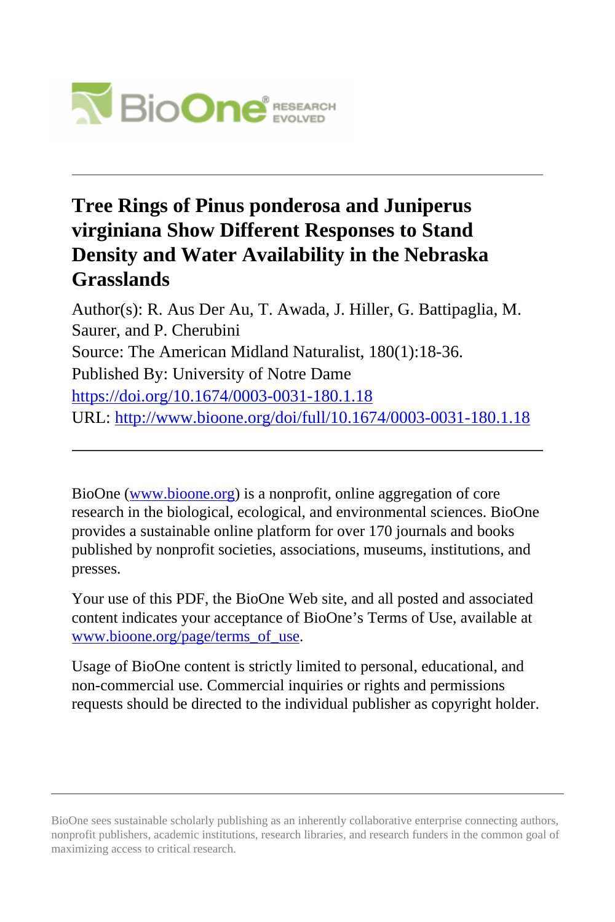

### **Tree Rings of Pinus ponderosa and Juniperus virginiana Show Different Responses to Stand Density and Water Availability in the Nebraska Grasslands**

Author(s): R. Aus Der Au, T. Awada, J. Hiller, G. Battipaglia, M. Saurer, and P. Cherubini Source: The American Midland Naturalist, 180(1):18-36. Published By: University of Notre Dame <https://doi.org/10.1674/0003-0031-180.1.18> URL: <http://www.bioone.org/doi/full/10.1674/0003-0031-180.1.18>

BioOne [\(www.bioone.org\)](http://www.bioone.org) is a nonprofit, online aggregation of core research in the biological, ecological, and environmental sciences. BioOne provides a sustainable online platform for over 170 journals and books published by nonprofit societies, associations, museums, institutions, and presses.

Your use of this PDF, the BioOne Web site, and all posted and associated content indicates your acceptance of BioOne's Terms of Use, available at [www.bioone.org/page/terms\\_of\\_use](http://www.bioone.org/page/terms_of_use).

Usage of BioOne content is strictly limited to personal, educational, and non-commercial use. Commercial inquiries or rights and permissions requests should be directed to the individual publisher as copyright holder.

BioOne sees sustainable scholarly publishing as an inherently collaborative enterprise connecting authors, nonprofit publishers, academic institutions, research libraries, and research funders in the common goal of maximizing access to critical research.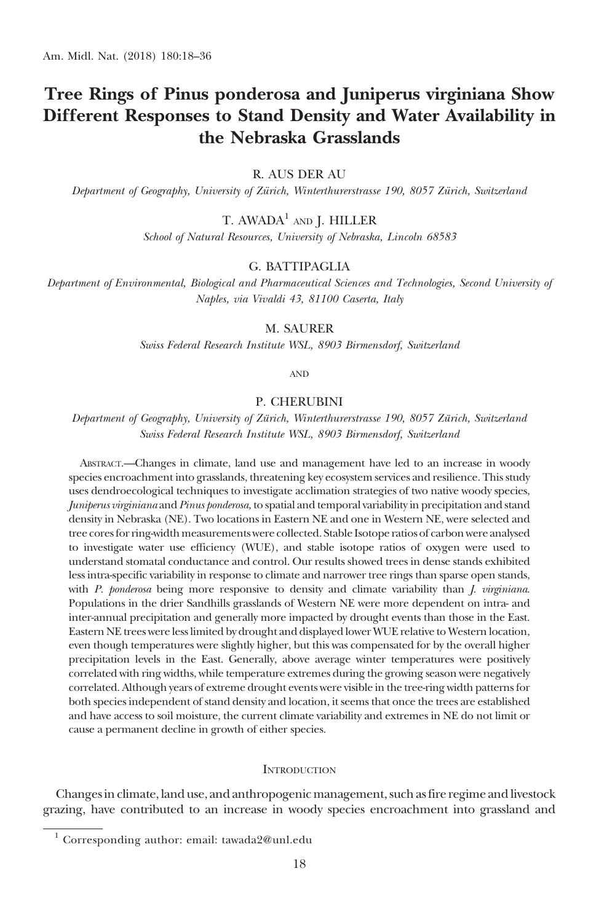### Tree Rings of Pinus ponderosa and Juniperus virginiana Show Different Responses to Stand Density and Water Availability in the Nebraska Grasslands

#### R. AUS DER AU

Department of Geography, University of Zürich, Winterthurerstrasse 190, 8057 Zürich, Switzerland

T. AWADA<sup>1</sup> AND J. HILLER

School of Natural Resources, University of Nebraska, Lincoln 68583

#### G. BATTIPAGLIA

Department of Environmental, Biological and Pharmaceutical Sciences and Technologies, Second University of Naples, via Vivaldi 43, 81100 Caserta, Italy

M. SAURER

Swiss Federal Research Institute WSL, 8903 Birmensdorf, Switzerland

AND

#### P. CHERUBINI

Department of Geography, University of Zürich, Winterthurerstrasse 190, 8057 Zürich, Switzerland Swiss Federal Research Institute WSL, 8903 Birmensdorf, Switzerland

ABSTRACT.—Changes in climate, land use and management have led to an increase in woody species encroachment into grasslands, threatening key ecosystem services and resilience. This study uses dendroecological techniques to investigate acclimation strategies of two native woody species, Juniperus virginiana and Pinus ponderosa, to spatial and temporal variability in precipitation and stand density in Nebraska (NE). Two locations in Eastern NE and one in Western NE, were selected and tree cores for ring-width measurements were collected. Stable Isotope ratios of carbon were analysed to investigate water use efficiency (WUE), and stable isotope ratios of oxygen were used to understand stomatal conductance and control. Our results showed trees in dense stands exhibited less intra-specific variability in response to climate and narrower tree rings than sparse open stands, with P. ponderosa being more responsive to density and climate variability than J. virginiana. Populations in the drier Sandhills grasslands of Western NE were more dependent on intra- and inter-annual precipitation and generally more impacted by drought events than those in the East. Eastern NE trees were less limited by drought and displayed lower WUE relative to Western location, even though temperatures were slightly higher, but this was compensated for by the overall higher precipitation levels in the East. Generally, above average winter temperatures were positively correlated with ring widths, while temperature extremes during the growing season were negatively correlated. Although years of extreme drought events were visible in the tree-ring width patterns for both species independent of stand density and location, it seems that once the trees are established and have access to soil moisture, the current climate variability and extremes in NE do not limit or cause a permanent decline in growth of either species.

#### **INTRODUCTION**

Changes in climate, land use, and anthropogenic management, such as fire regime and livestock grazing, have contributed to an increase in woody species encroachment into grassland and

<sup>&</sup>lt;sup>1</sup> Corresponding author: email: tawada2@unl.edu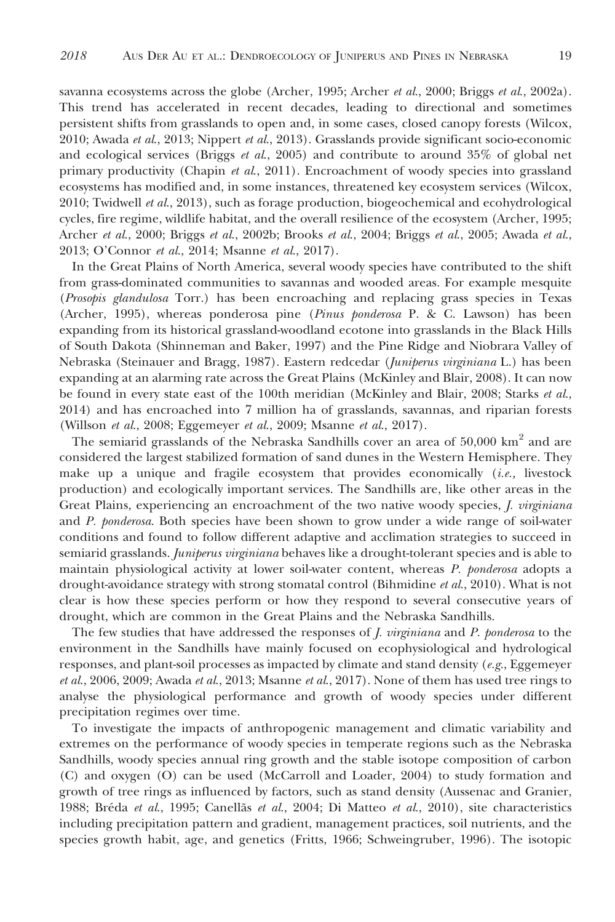savanna ecosystems across the globe (Archer, 1995; Archer et al., 2000; Briggs et al., 2002a). This trend has accelerated in recent decades, leading to directional and sometimes persistent shifts from grasslands to open and, in some cases, closed canopy forests (Wilcox, 2010; Awada et al., 2013; Nippert et al., 2013). Grasslands provide significant socio-economic and ecological services (Briggs *et al.*, 2005) and contribute to around  $35\%$  of global net primary productivity (Chapin et al., 2011). Encroachment of woody species into grassland ecosystems has modified and, in some instances, threatened key ecosystem services (Wilcox, 2010; Twidwell et al., 2013), such as forage production, biogeochemical and ecohydrological cycles, fire regime, wildlife habitat, and the overall resilience of the ecosystem (Archer, 1995; Archer et al., 2000; Briggs et al., 2002b; Brooks et al., 2004; Briggs et al., 2005; Awada et al., 2013; O'Connor et al., 2014; Msanne et al., 2017).

In the Great Plains of North America, several woody species have contributed to the shift from grass-dominated communities to savannas and wooded areas. For example mesquite (Prosopis glandulosa Torr.) has been encroaching and replacing grass species in Texas (Archer, 1995), whereas ponderosa pine (Pinus ponderosa P. & C. Lawson) has been expanding from its historical grassland-woodland ecotone into grasslands in the Black Hills of South Dakota (Shinneman and Baker, 1997) and the Pine Ridge and Niobrara Valley of Nebraska (Steinauer and Bragg, 1987). Eastern redcedar (Juniperus virginiana L.) has been expanding at an alarming rate across the Great Plains (McKinley and Blair, 2008). It can now be found in every state east of the 100th meridian (McKinley and Blair, 2008; Starks et al., 2014) and has encroached into 7 million ha of grasslands, savannas, and riparian forests (Willson et al., 2008; Eggemeyer et al., 2009; Msanne et al., 2017).

The semiarid grasslands of the Nebraska Sandhills cover an area of 50,000 km<sup>2</sup> and are considered the largest stabilized formation of sand dunes in the Western Hemisphere. They make up a unique and fragile ecosystem that provides economically  $(i.e.,$  livestock production) and ecologically important services. The Sandhills are, like other areas in the Great Plains, experiencing an encroachment of the two native woody species, *J. virginiana* and P. ponderosa. Both species have been shown to grow under a wide range of soil-water conditions and found to follow different adaptive and acclimation strategies to succeed in semiarid grasslands. Juniperus virginiana behaves like a drought-tolerant species and is able to maintain physiological activity at lower soil-water content, whereas P. ponderosa adopts a drought-avoidance strategy with strong stomatal control (Bihmidine et al., 2010). What is not clear is how these species perform or how they respond to several consecutive years of drought, which are common in the Great Plains and the Nebraska Sandhills.

The few studies that have addressed the responses of *J. virginiana* and *P. ponderosa* to the environment in the Sandhills have mainly focused on ecophysiological and hydrological responses, and plant-soil processes as impacted by climate and stand density ( $e.g.,$  Eggemeyer *et al.*, 2006, 2009; Awada *et al.*, 2013; Msanne *et al.*, 2017). None of them has used tree rings to analyse the physiological performance and growth of woody species under different precipitation regimes over time.

To investigate the impacts of anthropogenic management and climatic variability and extremes on the performance of woody species in temperate regions such as the Nebraska Sandhills, woody species annual ring growth and the stable isotope composition of carbon (C) and oxygen (O) can be used (McCarroll and Loader, 2004) to study formation and growth of tree rings as influenced by factors, such as stand density (Aussenac and Granier, 1988; Bréda *et al.*, 1995; Canellãs *et al.*, 2004; Di Matteo *et al.*, 2010), site characteristics including precipitation pattern and gradient, management practices, soil nutrients, and the species growth habit, age, and genetics (Fritts, 1966; Schweingruber, 1996). The isotopic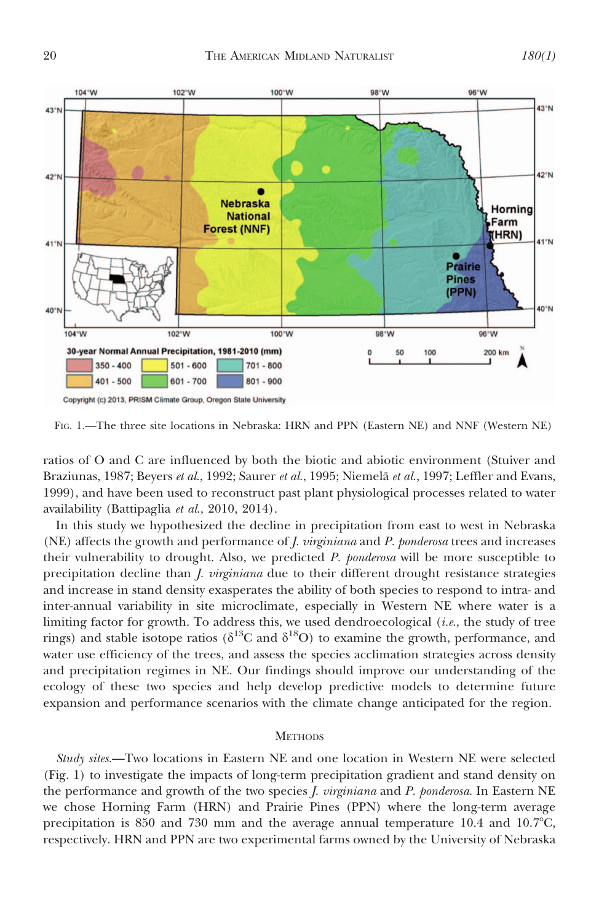

FIG. 1.—The three site locations in Nebraska: HRN and PPN (Eastern NE) and NNF (Western NE)

ratios of O and C are influenced by both the biotic and abiotic environment (Stuiver and Braziunas, 1987; Beyers et al., 1992; Saurer et al., 1995; Niemelä et al., 1997; Leffler and Evans, 1999), and have been used to reconstruct past plant physiological processes related to water availability (Battipaglia et al., 2010, 2014).

In this study we hypothesized the decline in precipitation from east to west in Nebraska (NE) affects the growth and performance of *J. virginiana* and *P. ponderosa* trees and increases their vulnerability to drought. Also, we predicted P. ponderosa will be more susceptible to precipitation decline than *J. virginiana* due to their different drought resistance strategies and increase in stand density exasperates the ability of both species to respond to intra- and inter-annual variability in site microclimate, especially in Western NE where water is a limiting factor for growth. To address this, we used dendroecological  $(i.e.,$  the study of tree rings) and stable isotope ratios ( $\delta^{13}$ C and  $\delta^{18}$ O) to examine the growth, performance, and water use efficiency of the trees, and assess the species acclimation strategies across density and precipitation regimes in NE. Our findings should improve our understanding of the ecology of these two species and help develop predictive models to determine future expansion and performance scenarios with the climate change anticipated for the region.

#### **METHODS**

Study sites.—Two locations in Eastern NE and one location in Western NE were selected (Fig. 1) to investigate the impacts of long-term precipitation gradient and stand density on the performance and growth of the two species *J. virginiana* and *P. ponderosa*. In Eastern NE we chose Horning Farm (HRN) and Prairie Pines (PPN) where the long-term average precipitation is 850 and 730 mm and the average annual temperature  $10.4$  and  $10.7^{\circ}$ C, respectively. HRN and PPN are two experimental farms owned by the University of Nebraska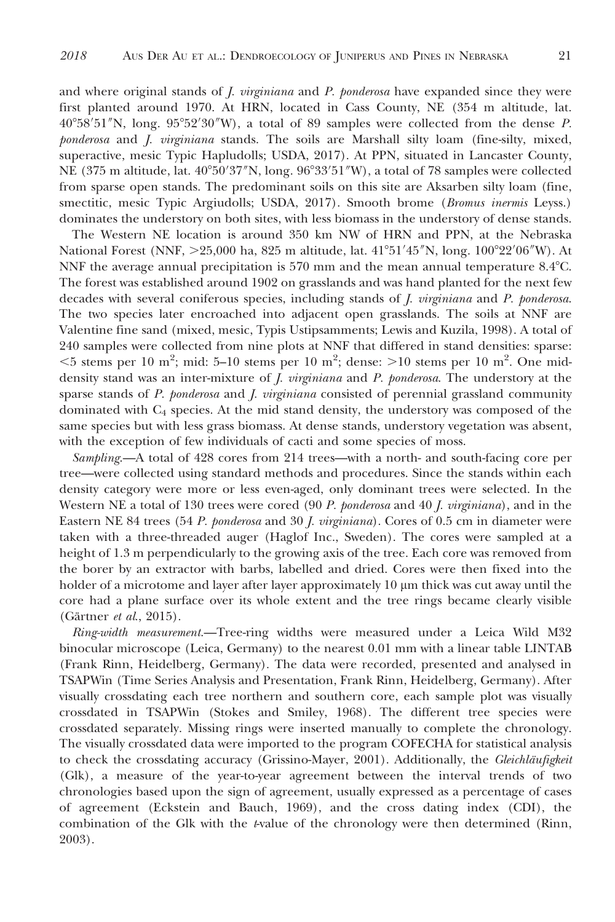and where original stands of *J. virginiana* and *P. ponderosa* have expanded since they were first planted around 1970. At HRN, located in Cass County, NE (354 m altitude, lat.  $40^{\circ}58'51''$ N, long.  $95^{\circ}52'30''$ W), a total of 89 samples were collected from the dense P. ponderosa and J. virginiana stands. The soils are Marshall silty loam (fine-silty, mixed, superactive, mesic Typic Hapludolls; USDA, 2017). At PPN, situated in Lancaster County, NE (375 m altitude, lat. 40°50′37″N, long. 96°33′51″W), a total of 78 samples were collected from sparse open stands. The predominant soils on this site are Aksarben silty loam (fine, smectitic, mesic Typic Argiudolls; USDA, 2017). Smooth brome (Bromus inermis Leyss.) dominates the understory on both sites, with less biomass in the understory of dense stands.

The Western NE location is around 350 km NW of HRN and PPN, at the Nebraska National Forest (NNF, >25,000 ha, 825 m altitude, lat. 41°51′45″N, long. 100°22′06″W). At NNF the average annual precipitation is  $570 \text{ mm}$  and the mean annual temperature  $8.4^{\circ}$ C. The forest was established around 1902 on grasslands and was hand planted for the next few decades with several coniferous species, including stands of *J. virginiana* and *P. ponderosa*. The two species later encroached into adjacent open grasslands. The soils at NNF are Valentine fine sand (mixed, mesic, Typis Ustipsamments; Lewis and Kuzila, 1998). A total of 240 samples were collected from nine plots at NNF that differed in stand densities: sparse:  $<$ 5 stems per 10 m<sup>2</sup>; mid: 5–10 stems per 10 m<sup>2</sup>; dense: >10 stems per 10 m<sup>2</sup>. One middensity stand was an inter-mixture of *J. virginiana* and *P. ponderosa*. The understory at the sparse stands of  $P$ . ponderosa and  $I$ . virginiana consisted of perennial grassland community dominated with C4 species. At the mid stand density, the understory was composed of the same species but with less grass biomass. At dense stands, understory vegetation was absent, with the exception of few individuals of cacti and some species of moss.

Sampling.—A total of 428 cores from 214 trees—with a north- and south-facing core per tree—were collected using standard methods and procedures. Since the stands within each density category were more or less even-aged, only dominant trees were selected. In the Western NE a total of 130 trees were cored  $(90 P.$  ponderosa and 40 *J. virginiana*), and in the Eastern NE 84 trees (54 P. ponderosa and 30 J. virginiana). Cores of 0.5 cm in diameter were taken with a three-threaded auger (Haglof Inc., Sweden). The cores were sampled at a height of 1.3 m perpendicularly to the growing axis of the tree. Each core was removed from the borer by an extractor with barbs, labelled and dried. Cores were then fixed into the holder of a microtome and layer after layer approximately 10  $\mu$ m thick was cut away until the core had a plane surface over its whole extent and the tree rings became clearly visible (Gärtner  $et$  al., 2015).

Ring-width measurement.—Tree-ring widths were measured under a Leica Wild M32 binocular microscope (Leica, Germany) to the nearest 0.01 mm with a linear table LINTAB (Frank Rinn, Heidelberg, Germany). The data were recorded, presented and analysed in TSAPWin (Time Series Analysis and Presentation, Frank Rinn, Heidelberg, Germany). After visually crossdating each tree northern and southern core, each sample plot was visually crossdated in TSAPWin (Stokes and Smiley, 1968). The different tree species were crossdated separately. Missing rings were inserted manually to complete the chronology. The visually crossdated data were imported to the program COFECHA for statistical analysis to check the crossdating accuracy (Grissino-Mayer, 2001). Additionally, the *Gleichläufigkeit* (Glk), a measure of the year-to-year agreement between the interval trends of two chronologies based upon the sign of agreement, usually expressed as a percentage of cases of agreement (Eckstein and Bauch, 1969), and the cross dating index (CDI), the combination of the Glk with the  $t$ -value of the chronology were then determined (Rinn, 2003).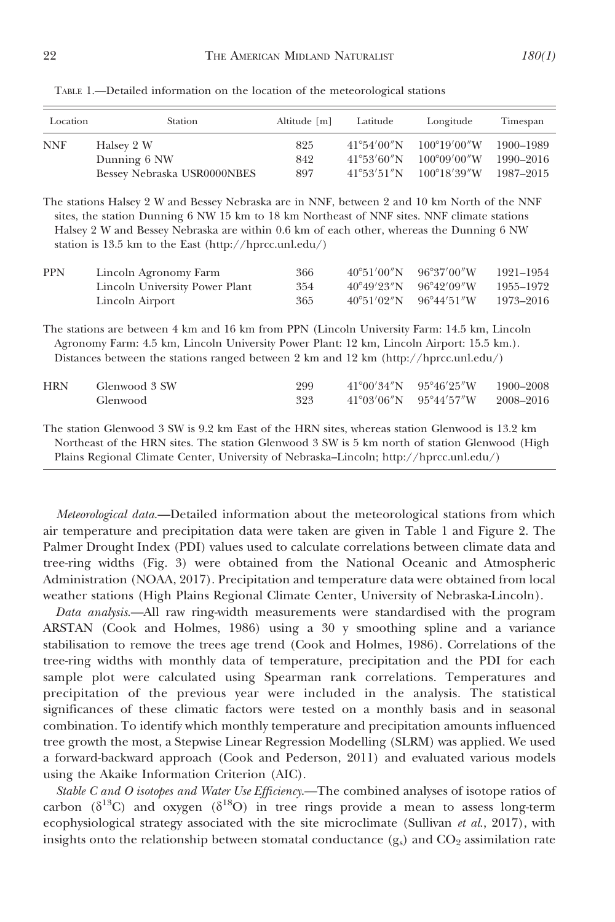| Location   | Station                     | Altitude [m] | Latitude              | Longitude              | Timespan  |
|------------|-----------------------------|--------------|-----------------------|------------------------|-----------|
| <b>NNF</b> | Halsey 2 W                  | 825          | $41^{\circ}54'00''$ N | $100^{\circ}19'00''$ W | 1900-1989 |
|            | Dunning 6 NW                | 842          | $41^{\circ}53'60''$ N | $100^{\circ}09'00''$ W | 1990-2016 |
|            | Bessey Nebraska USR0000NBES | 897          | $41^{\circ}53'51''N$  | $100^{\circ}18'39''$ W | 1987-2015 |

TABLE 1.—Detailed information on the location of the meteorological stations

The stations Halsey 2 W and Bessey Nebraska are in NNF, between 2 and 10 km North of the NNF sites, the station Dunning 6 NW 15 km to 18 km Northeast of NNF sites. NNF climate stations Halsey 2 W and Bessey Nebraska are within 0.6 km of each other, whereas the Dunning 6 NW station is 13.5 km to the East (http://hprcc.unl.edu/)

| <b>PPN</b> | Lincoln Agronomy Farm          | 366 | $40^{\circ}51'00''$ N $96^{\circ}37'00''$ W | 1921-1954 |
|------------|--------------------------------|-----|---------------------------------------------|-----------|
|            | Lincoln University Power Plant | 354 | $40^{\circ}49'23''$ N $96^{\circ}42'09''$ W | 1955–1972 |
|            | Lincoln Airport                | 365 | $40^{\circ}51'02''N$ $96^{\circ}44'51''W$   | 1973–2016 |

The stations are between 4 km and 16 km from PPN (Lincoln University Farm: 14.5 km, Lincoln Agronomy Farm: 4.5 km, Lincoln University Power Plant: 12 km, Lincoln Airport: 15.5 km.). Distances between the stations ranged between 2 km and 12 km (http://hprcc.unl.edu/)

| <b>HRN</b> | Glenwood 3 SW | 299 | $41^{\circ}00'34''$ N $95^{\circ}46'25''$ W |                                  | 1900–2008 |
|------------|---------------|-----|---------------------------------------------|----------------------------------|-----------|
|            | Glenwood      | 323 |                                             | $41^{\circ}03'06''$ N 95°44'57"W | 2008–2016 |

The station Glenwood 3 SW is 9.2 km East of the HRN sites, whereas station Glenwood is 13.2 km Northeast of the HRN sites. The station Glenwood 3 SW is 5 km north of station Glenwood (High Plains Regional Climate Center, University of Nebraska–Lincoln; http://hprcc.unl.edu/)

Meteorological data.—Detailed information about the meteorological stations from which air temperature and precipitation data were taken are given in Table 1 and Figure 2. The Palmer Drought Index (PDI) values used to calculate correlations between climate data and tree-ring widths (Fig. 3) were obtained from the National Oceanic and Atmospheric Administration (NOAA, 2017). Precipitation and temperature data were obtained from local weather stations (High Plains Regional Climate Center, University of Nebraska-Lincoln).

Data analysis.—All raw ring-width measurements were standardised with the program ARSTAN (Cook and Holmes, 1986) using a 30 y smoothing spline and a variance stabilisation to remove the trees age trend (Cook and Holmes, 1986). Correlations of the tree-ring widths with monthly data of temperature, precipitation and the PDI for each sample plot were calculated using Spearman rank correlations. Temperatures and precipitation of the previous year were included in the analysis. The statistical significances of these climatic factors were tested on a monthly basis and in seasonal combination. To identify which monthly temperature and precipitation amounts influenced tree growth the most, a Stepwise Linear Regression Modelling (SLRM) was applied. We used a forward-backward approach (Cook and Pederson, 2011) and evaluated various models using the Akaike Information Criterion (AIC).

Stable C and O isotopes and Water Use Efficiency.—The combined analyses of isotope ratios of carbon ( $\delta^{13}$ C) and oxygen ( $\delta^{18}$ O) in tree rings provide a mean to assess long-term ecophysiological strategy associated with the site microclimate (Sullivan  $et al., 2017$ ), with insights onto the relationship between stomatal conductance  $(g_s)$  and  $CO_2$  assimilation rate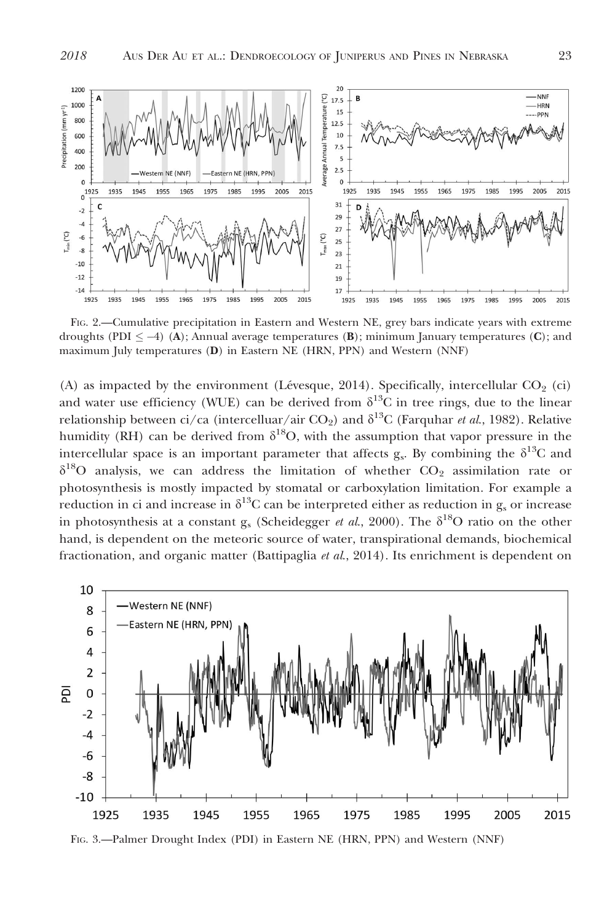

FIG. 2.—Cumulative precipitation in Eastern and Western NE, grey bars indicate years with extreme droughts (PDI  $\leq$  -4) (A); Annual average temperatures (B); minimum January temperatures (C); and maximum July temperatures (D) in Eastern NE (HRN, PPN) and Western (NNF)

(A) as impacted by the environment (Lévesque, 2014). Specifically, intercellular  $CO<sub>2</sub>$  (ci) and water use efficiency (WUE) can be derived from  $\delta^{13}$ C in tree rings, due to the linear relationship between ci/ca (intercelluar/air CO<sub>2</sub>) and  $\delta^{13}C$  (Farquhar *et al.*, 1982). Relative humidity (RH) can be derived from  $\delta^{18}O$ , with the assumption that vapor pressure in the intercellular space is an important parameter that affects  $g_s$ . By combining the  $\delta^{13}C$  and  $\delta^{18}$ O analysis, we can address the limitation of whether CO<sub>2</sub> assimilation rate or photosynthesis is mostly impacted by stomatal or carboxylation limitation. For example a reduction in ci and increase in  $\delta^{13}C$  can be interpreted either as reduction in g<sub>s</sub> or increase in photosynthesis at a constant g<sub>s</sub> (Scheidegger et al., 2000). The  $\delta^{18}O$  ratio on the other hand, is dependent on the meteoric source of water, transpirational demands, biochemical fractionation, and organic matter (Battipaglia et al., 2014). Its enrichment is dependent on



FIG. 3.—Palmer Drought Index (PDI) in Eastern NE (HRN, PPN) and Western (NNF)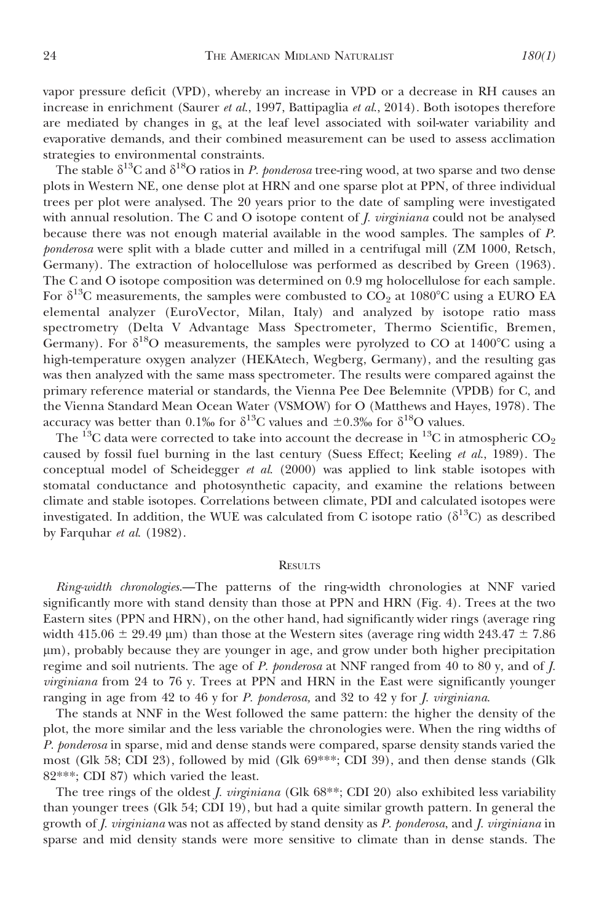vapor pressure deficit (VPD), whereby an increase in VPD or a decrease in RH causes an increase in enrichment (Saurer et al., 1997, Battipaglia et al., 2014). Both isotopes therefore are mediated by changes in  $g_s$  at the leaf level associated with soil-water variability and evaporative demands, and their combined measurement can be used to assess acclimation strategies to environmental constraints.

The stable  $\delta^{13}C$  and  $\delta^{18}O$  ratios in P. ponderosa tree-ring wood, at two sparse and two dense plots in Western NE, one dense plot at HRN and one sparse plot at PPN, of three individual trees per plot were analysed. The 20 years prior to the date of sampling were investigated with annual resolution. The C and O isotope content of *, <i>virginiana* could not be analysed because there was not enough material available in the wood samples. The samples of P. ponderosa were split with a blade cutter and milled in a centrifugal mill (ZM 1000, Retsch, Germany). The extraction of holocellulose was performed as described by Green (1963). The C and O isotope composition was determined on 0.9 mg holocellulose for each sample. For  $\delta^{13}$ C measurements, the samples were combusted to CO<sub>2</sub> at 1080<sup>o</sup>C using a EURO EA elemental analyzer (EuroVector, Milan, Italy) and analyzed by isotope ratio mass spectrometry (Delta V Advantage Mass Spectrometer, Thermo Scientific, Bremen, Germany). For  $\delta^{18}O$  measurements, the samples were pyrolyzed to CO at 1400°C using a high-temperature oxygen analyzer (HEKAtech, Wegberg, Germany), and the resulting gas was then analyzed with the same mass spectrometer. The results were compared against the primary reference material or standards, the Vienna Pee Dee Belemnite (VPDB) for C, and the Vienna Standard Mean Ocean Water (VSMOW) for O (Matthews and Hayes, 1978). The accuracy was better than 0.1% for  $\delta^{13}$ C values and  $\pm$ 0.3% for  $\delta^{18}$ O values.

The  $^{13}$ C data were corrected to take into account the decrease in  $^{13}$ C in atmospheric CO<sub>2</sub> caused by fossil fuel burning in the last century (Suess Effect; Keeling et al., 1989). The conceptual model of Scheidegger et al.  $(2000)$  was applied to link stable isotopes with stomatal conductance and photosynthetic capacity, and examine the relations between climate and stable isotopes. Correlations between climate, PDI and calculated isotopes were investigated. In addition, the WUE was calculated from C isotope ratio ( $\delta^{13}C$ ) as described by Farquhar et al. (1982).

#### **RESULTS**

Ring-width chronologies.—The patterns of the ring-width chronologies at NNF varied significantly more with stand density than those at PPN and HRN (Fig. 4). Trees at the two Eastern sites (PPN and HRN), on the other hand, had significantly wider rings (average ring width 415.06  $\pm$  29.49 µm) than those at the Western sites (average ring width 243.47  $\pm$  7.86 lm), probably because they are younger in age, and grow under both higher precipitation regime and soil nutrients. The age of P. ponderosa at NNF ranged from 40 to 80 y, and of J. virginiana from 24 to 76 y. Trees at PPN and HRN in the East were significantly younger ranging in age from 42 to 46 y for P. ponderosa, and 32 to 42 y for J. virginiana.

The stands at NNF in the West followed the same pattern: the higher the density of the plot, the more similar and the less variable the chronologies were. When the ring widths of P. ponderosa in sparse, mid and dense stands were compared, sparse density stands varied the most (Glk 58; CDI 23), followed by mid (Glk 69\*\*\*; CDI 39), and then dense stands (Glk 82\*\*\*; CDI 87) which varied the least.

The tree rings of the oldest *J. virginiana* (Glk 68<sup>\*\*</sup>; CDI 20) also exhibited less variability than younger trees (Glk 54; CDI 19), but had a quite similar growth pattern. In general the growth of J. virginiana was not as affected by stand density as P. ponderosa, and J. virginiana in sparse and mid density stands were more sensitive to climate than in dense stands. The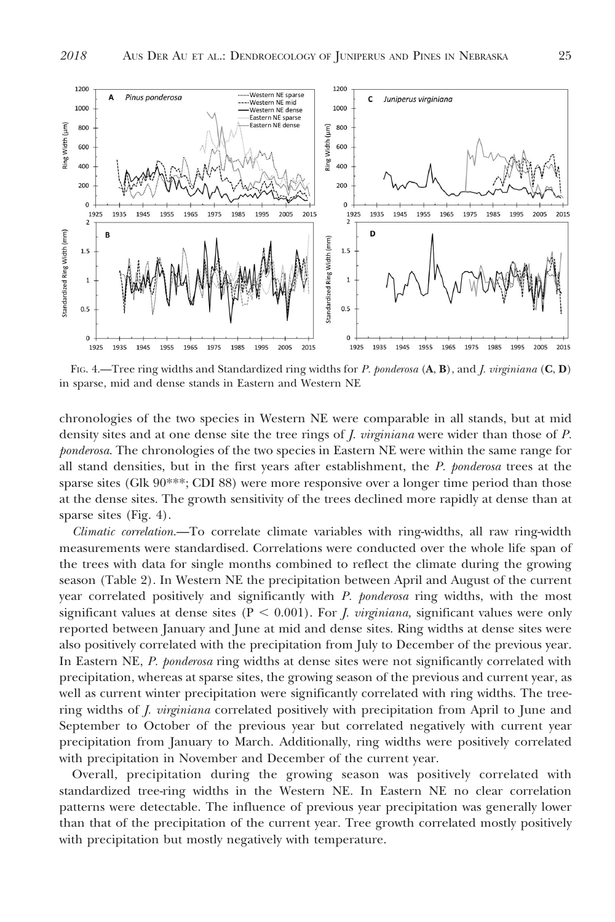

FIG. 4.—Tree ring widths and Standardized ring widths for P. ponderosa  $(A, B)$ , and J. virginiana  $(C, D)$ in sparse, mid and dense stands in Eastern and Western NE

chronologies of the two species in Western NE were comparable in all stands, but at mid density sites and at one dense site the tree rings of *J. virginiana* were wider than those of *P*. ponderosa. The chronologies of the two species in Eastern NE were within the same range for all stand densities, but in the first years after establishment, the P. ponderosa trees at the sparse sites (Glk 90<sup>\*\*\*</sup>; CDI 88) were more responsive over a longer time period than those at the dense sites. The growth sensitivity of the trees declined more rapidly at dense than at sparse sites (Fig. 4).

Climatic correlation.—To correlate climate variables with ring-widths, all raw ring-width measurements were standardised. Correlations were conducted over the whole life span of the trees with data for single months combined to reflect the climate during the growing season (Table 2). In Western NE the precipitation between April and August of the current year correlated positively and significantly with P. ponderosa ring widths, with the most significant values at dense sites ( $P < 0.001$ ). For *J. virginiana*, significant values were only reported between January and June at mid and dense sites. Ring widths at dense sites were also positively correlated with the precipitation from July to December of the previous year. In Eastern NE, P. ponderosa ring widths at dense sites were not significantly correlated with precipitation, whereas at sparse sites, the growing season of the previous and current year, as well as current winter precipitation were significantly correlated with ring widths. The treering widths of *J. virginiana* correlated positively with precipitation from April to June and September to October of the previous year but correlated negatively with current year precipitation from January to March. Additionally, ring widths were positively correlated with precipitation in November and December of the current year.

Overall, precipitation during the growing season was positively correlated with standardized tree-ring widths in the Western NE. In Eastern NE no clear correlation patterns were detectable. The influence of previous year precipitation was generally lower than that of the precipitation of the current year. Tree growth correlated mostly positively with precipitation but mostly negatively with temperature.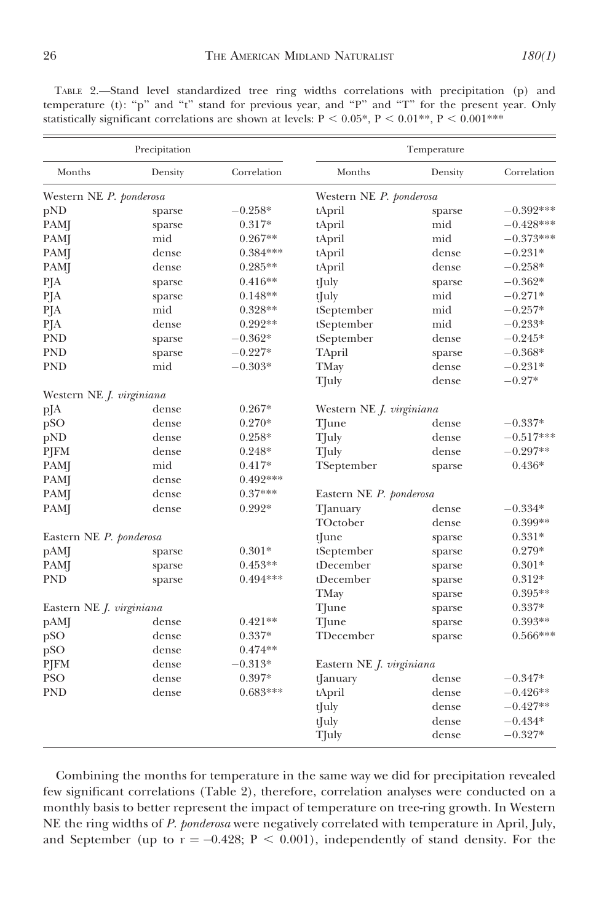TABLE 2.—Stand level standardized tree ring widths correlations with precipitation (p) and temperature (t): "p" and "t" stand for previous year, and "P" and "T" for the present year. Only statistically significant correlations are shown at levels:  $P < 0.05^*$ ,  $P < 0.01^{**}$ ,  $P < 0.001^{***}$ 

| Precipitation                   |         |                         | Temperature                     |         |             |  |
|---------------------------------|---------|-------------------------|---------------------------------|---------|-------------|--|
| Months                          | Density | Correlation             | Months                          | Density | Correlation |  |
| Western NE P. ponderosa         |         | Western NE P. ponderosa |                                 |         |             |  |
| pND                             | sparse  | $-0.258*$               | tApril                          | sparse  | $-0.392***$ |  |
| PAMJ                            | sparse  | $0.317*$                | tApril                          | mid     | $-0.428***$ |  |
| PAMJ                            | mid     | $0.267**$               | tApril                          | mid     | $-0.373***$ |  |
| PAMJ                            | dense   | $0.384***$              | tApril                          | dense   | $-0.231*$   |  |
| PAMJ                            | dense   | $0.285**$               | tApril                          | dense   | $-0.258*$   |  |
| PJA                             | sparse  | $0.416**$               | tJuly                           | sparse  | $-0.362*$   |  |
| PJA                             | sparse  | $0.148**$               | tJuly                           | mid     | $-0.271*$   |  |
| PJA                             | mid     | $0.328**$               | tSeptember                      | mid     | $-0.257*$   |  |
| PJA                             | dense   | $0.292**$               | tSeptember                      | mid     | $-0.233*$   |  |
| <b>PND</b>                      | sparse  | $-0.362*$               | tSeptember                      | dense   | $-0.245*$   |  |
| <b>PND</b>                      | sparse  | $-0.227*$               | TApril                          | sparse  | $-0.368*$   |  |
| <b>PND</b>                      | mid     | $-0.303*$               | TMay                            | dense   | $-0.231*$   |  |
|                                 |         |                         | TJuly                           | dense   | $-0.27*$    |  |
| Western NE <i>J. virginiana</i> |         |                         |                                 |         |             |  |
| pJA                             | dense   | $0.267*$                | Western NE <i>J. virginiana</i> |         |             |  |
| pSO                             | dense   | $0.270*$                | TJune                           | dense   | $-0.337*$   |  |
| pND                             | dense   | $0.258*$                | TJuly                           | dense   | $-0.517***$ |  |
| PJFM                            | dense   | $0.248*$                | TJuly                           | dense   | $-0.297**$  |  |
| PAMJ                            | mid     | $0.417*$                | TSeptember                      | sparse  | $0.436*$    |  |
| <b>PAM</b>                      | dense   | $0.492***$              |                                 |         |             |  |
| PAMJ                            | dense   | $0.37***$               | Eastern NE P. ponderosa         |         |             |  |
| PAMJ                            | dense   | $0.292*$                | TJanuary                        | dense   | $-0.334*$   |  |
|                                 |         |                         | TOctober                        | dense   | $0.399**$   |  |
| Eastern NE P. ponderosa         |         |                         | tJune                           | sparse  | $0.331*$    |  |
| pAM                             | sparse  | $0.301*$                | tSeptember                      | sparse  | 0.279*      |  |
| PAMJ                            | sparse  | $0.453**$               | tDecember                       | sparse  | $0.301*$    |  |
| <b>PND</b>                      | sparse  | $0.494***$              | tDecember                       | sparse  | $0.312*$    |  |
|                                 |         |                         | TMay                            | sparse  | $0.395**$   |  |
| Eastern NE J. virginiana        |         |                         | TJune                           | sparse  | $0.337*$    |  |
| pAMJ                            | dense   | $0.421**$               | TJune                           | sparse  | $0.393**$   |  |
| pSO                             | dense   | $0.337*$                | TDecember                       | sparse  | $0.566***$  |  |
| pSO                             | dense   | $0.474**$               |                                 |         |             |  |
| PJFM                            | dense   | $-0.313*$               | Eastern NE J. virginiana        |         |             |  |
| <b>PSO</b>                      | dense   | $0.397*$                | tJanuary                        | dense   | $-0.347*$   |  |
| <b>PND</b>                      | dense   | $0.683***$              | tApril                          | dense   | $-0.426**$  |  |
|                                 |         |                         | tJuly                           | dense   | $-0.427**$  |  |
|                                 |         |                         | tJuly                           | dense   | $-0.434*$   |  |
|                                 |         |                         | TJuly                           | dense   | $-0.327*$   |  |

Combining the months for temperature in the same way we did for precipitation revealed few significant correlations (Table 2), therefore, correlation analyses were conducted on a monthly basis to better represent the impact of temperature on tree-ring growth. In Western NE the ring widths of P. ponderosa were negatively correlated with temperature in April, July, and September (up to  $r = -0.428$ ;  $P < 0.001$ ), independently of stand density. For the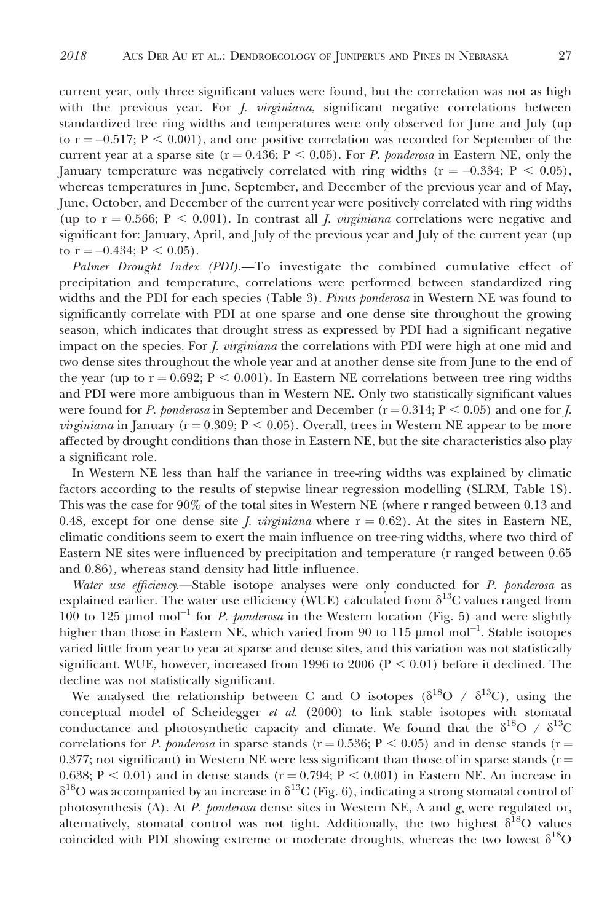current year, only three significant values were found, but the correlation was not as high with the previous year. For *J. virginiana*, significant negative correlations between standardized tree ring widths and temperatures were only observed for June and July (up to  $r = -0.517$ ;  $P < 0.001$ ), and one positive correlation was recorded for September of the current year at a sparse site ( $r = 0.436$ ;  $P < 0.05$ ). For P. ponderosa in Eastern NE, only the January temperature was negatively correlated with ring widths  $(r = -0.334; P < 0.05)$ , whereas temperatures in June, September, and December of the previous year and of May, June, October, and December of the current year were positively correlated with ring widths (up to  $r = 0.566$ ;  $P < 0.001$ ). In contrast all *J. virginiana* correlations were negative and significant for: January, April, and July of the previous year and July of the current year (up to  $r = -0.434$ ;  $P < 0.05$ ).

Palmer Drought Index (PDI).—To investigate the combined cumulative effect of precipitation and temperature, correlations were performed between standardized ring widths and the PDI for each species (Table 3). *Pinus ponderosa* in Western NE was found to significantly correlate with PDI at one sparse and one dense site throughout the growing season, which indicates that drought stress as expressed by PDI had a significant negative impact on the species. For *J. virginiana* the correlations with PDI were high at one mid and two dense sites throughout the whole year and at another dense site from June to the end of the year (up to  $r = 0.692$ ;  $P < 0.001$ ). In Eastern NE correlations between tree ring widths and PDI were more ambiguous than in Western NE. Only two statistically significant values were found for P. ponderosa in September and December ( $r = 0.314$ ;  $P < 0.05$ ) and one for J. *virginiana* in January ( $r = 0.309$ ;  $P < 0.05$ ). Overall, trees in Western NE appear to be more affected by drought conditions than those in Eastern NE, but the site characteristics also play a significant role.

In Western NE less than half the variance in tree-ring widths was explained by climatic factors according to the results of stepwise linear regression modelling (SLRM, Table 1S). This was the case for 90% of the total sites in Western NE (where r ranged between 0.13 and 0.48, except for one dense site *J. virginiana* where  $r = 0.62$ ). At the sites in Eastern NE, climatic conditions seem to exert the main influence on tree-ring widths, where two third of Eastern NE sites were influenced by precipitation and temperature (r ranged between 0.65 and 0.86), whereas stand density had little influence.

Water use efficiency.—Stable isotope analyses were only conducted for P. ponderosa as explained earlier. The water use efficiency (WUE) calculated from  $\delta^{13}C$  values ranged from  $100$  to 125 µmol mol<sup>-1</sup> for *P. ponderosa* in the Western location (Fig. 5) and were slightly higher than those in Eastern NE, which varied from 90 to 115  $\mu$ mol mol<sup>-1</sup>. Stable isotopes varied little from year to year at sparse and dense sites, and this variation was not statistically significant. WUE, however, increased from 1996 to 2006 ( $P < 0.01$ ) before it declined. The decline was not statistically significant.

We analysed the relationship between C and O isotopes ( $\delta^{18}O / \delta^{13}C$ ), using the conceptual model of Scheidegger  $et$  al. (2000) to link stable isotopes with stomatal conductance and photosynthetic capacity and climate. We found that the  $\delta^{18}O / \delta^{13}C$ correlations for P. ponderosa in sparse stands ( $r = 0.536$ ;  $P < 0.05$ ) and in dense stands ( $r =$ 0.377; not significant) in Western NE were less significant than those of in sparse stands ( $r =$ 0.638;  $P < 0.01$ ) and in dense stands (r = 0.794; P < 0.001) in Eastern NE. An increase in  $\delta^{18}$ O was accompanied by an increase in  $\delta^{13}$ C (Fig. 6), indicating a strong stomatal control of photosynthesis (A). At P. ponderosa dense sites in Western NE, A and  $g<sub>s</sub>$  were regulated or, alternatively, stomatal control was not tight. Additionally, the two highest  $\delta^{18}O$  values coincided with PDI showing extreme or moderate droughts, whereas the two lowest  $\delta^{18}O$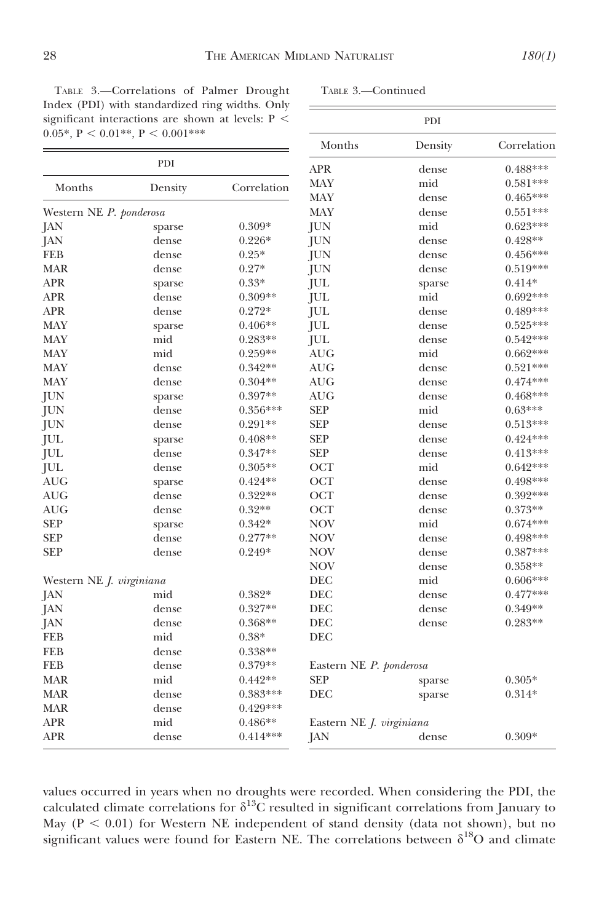TABLE 3.—Correlations of Palmer Drought Index (PDI) with standardized ring widths. Only significant interactions are shown at levels:  $P$  < 0.05\*,  $P < 0.01**$ ,  $P < 0.001***$ 

PDI

TABLE 3.—Continued PDI Months Density Correlation APR dense 0.488\*\*\*

| Months                          | Density | Correlation | <b>MAY</b>                      | mid    | $0.581***$ |  |
|---------------------------------|---------|-------------|---------------------------------|--------|------------|--|
|                                 |         |             | <b>MAY</b>                      | dense  | $0.465***$ |  |
| Western NE P. ponderosa         |         |             | <b>MAY</b>                      | dense  | $0.551***$ |  |
| JAN                             | sparse  | $0.309*$    | JUN                             | mid    | $0.623***$ |  |
| JAN                             | dense   | $0.226*$    | JUN                             | dense  | $0.428**$  |  |
| <b>FEB</b>                      | dense   | $0.25*$     | JUN                             | dense  | $0.456***$ |  |
| <b>MAR</b>                      | dense   | $0.27*$     | <b>JUN</b>                      | dense  | $0.519***$ |  |
| <b>APR</b>                      | sparse  | $0.33*$     | JUL                             | sparse | $0.414*$   |  |
| <b>APR</b>                      | dense   | $0.309**$   | <b>JUL</b>                      | mid    | $0.692***$ |  |
| <b>APR</b>                      | dense   | 0.272*      | <b>JUL</b>                      | dense  | $0.489***$ |  |
| <b>MAY</b>                      | sparse  | $0.406**$   | <b>JUL</b>                      | dense  | $0.525***$ |  |
| <b>MAY</b>                      | mid     | $0.283**$   | JUL                             | dense  | $0.542***$ |  |
| MAY                             | mid     | $0.259**$   | <b>AUG</b>                      | mid    | $0.662***$ |  |
| <b>MAY</b>                      | dense   | $0.342**$   | <b>AUG</b>                      | dense  | $0.521***$ |  |
| <b>MAY</b>                      | dense   | $0.304**$   | <b>AUG</b>                      | dense  | $0.474***$ |  |
| JUN                             | sparse  | $0.397**$   | <b>AUG</b>                      | dense  | $0.468***$ |  |
| JUN                             | dense   | $0.356***$  | <b>SEP</b>                      | mid    | $0.63***$  |  |
| JUN                             | dense   | $0.291**$   | <b>SEP</b>                      | dense  | $0.513***$ |  |
| JUL                             | sparse  | $0.408**$   | <b>SEP</b>                      | dense  | $0.424***$ |  |
| JUL                             | dense   | $0.347**$   | <b>SEP</b>                      | dense  | $0.413***$ |  |
| JUL                             | dense   | $0.305**$   | OCT                             | mid    | $0.642***$ |  |
| AUG                             | sparse  | $0.424**$   | OCT                             | dense  | $0.498***$ |  |
| <b>AUG</b>                      | dense   | $0.322**$   | OCT                             | dense  | $0.392***$ |  |
| <b>AUG</b>                      | dense   | $0.32**$    | OCT                             | dense  | $0.373**$  |  |
| <b>SEP</b>                      | sparse  | $0.342*$    | <b>NOV</b>                      | mid    | $0.674***$ |  |
| <b>SEP</b>                      | dense   | $0.277**$   | <b>NOV</b>                      | dense  | $0.498***$ |  |
| <b>SEP</b>                      | dense   | $0.249*$    | <b>NOV</b>                      | dense  | $0.387***$ |  |
|                                 |         |             | <b>NOV</b>                      | dense  | $0.358**$  |  |
| Western NE <i>J. virginiana</i> |         |             | DEC                             | mid    | $0.606***$ |  |
| JAN                             | mid     | 0.382*      | DEC                             | dense  | $0.477***$ |  |
| JAN                             | dense   | $0.327**$   | DEC                             | dense  | $0.349**$  |  |
| JAN                             | dense   | $0.368**$   | DEC                             | dense  | $0.283**$  |  |
| <b>FEB</b>                      | mid     | $0.38*$     | DEC                             |        |            |  |
| <b>FEB</b>                      | dense   | $0.338**$   |                                 |        |            |  |
| <b>FEB</b>                      | dense   | $0.379**$   | Eastern NE P. ponderosa         |        |            |  |
| <b>MAR</b>                      | mid     | $0.442**$   | <b>SEP</b>                      | sparse | $0.305*$   |  |
| <b>MAR</b>                      | dense   | $0.383***$  | <b>DEC</b>                      | sparse | $0.314*$   |  |
| <b>MAR</b>                      | dense   | $0.429***$  |                                 |        |            |  |
| <b>APR</b>                      | mid     | $0.486**$   | Eastern NE <i>J. virginiana</i> |        |            |  |
| <b>APR</b>                      | dense   | $0.414***$  | JAN                             | dense  | $0.309*$   |  |

values occurred in years when no droughts were recorded. When considering the PDI, the calculated climate correlations for  $\delta^{13}$ C resulted in significant correlations from January to May ( $P < 0.01$ ) for Western NE independent of stand density (data not shown), but no significant values were found for Eastern NE. The correlations between  $\delta^{18}O$  and climate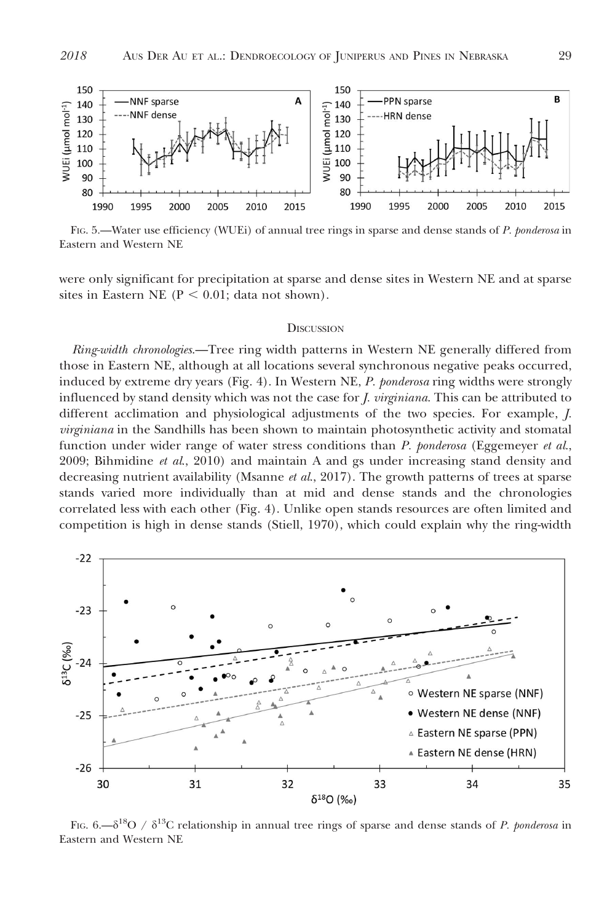

FIG. 5.—Water use efficiency (WUEi) of annual tree rings in sparse and dense stands of P. ponderosa in Eastern and Western NE

were only significant for precipitation at sparse and dense sites in Western NE and at sparse sites in Eastern NE ( $P < 0.01$ ; data not shown).

#### **DISCUSSION**

Ring-width chronologies.—Tree ring width patterns in Western NE generally differed from those in Eastern NE, although at all locations several synchronous negative peaks occurred, induced by extreme dry years (Fig. 4). In Western NE, P. ponderosa ring widths were strongly influenced by stand density which was not the case for *J. virginiana*. This can be attributed to different acclimation and physiological adjustments of the two species. For example, J. virginiana in the Sandhills has been shown to maintain photosynthetic activity and stomatal function under wider range of water stress conditions than P. ponderosa (Eggemeyer et al., 2009; Bihmidine  $et$   $al$ , 2010) and maintain A and gs under increasing stand density and decreasing nutrient availability (Msanne  $et al., 2017$ ). The growth patterns of trees at sparse stands varied more individually than at mid and dense stands and the chronologies correlated less with each other (Fig. 4). Unlike open stands resources are often limited and competition is high in dense stands (Stiell, 1970), which could explain why the ring-width



FIG. 6.— $\delta^{18}O / \delta^{13}C$  relationship in annual tree rings of sparse and dense stands of P. ponderosa in Eastern and Western NE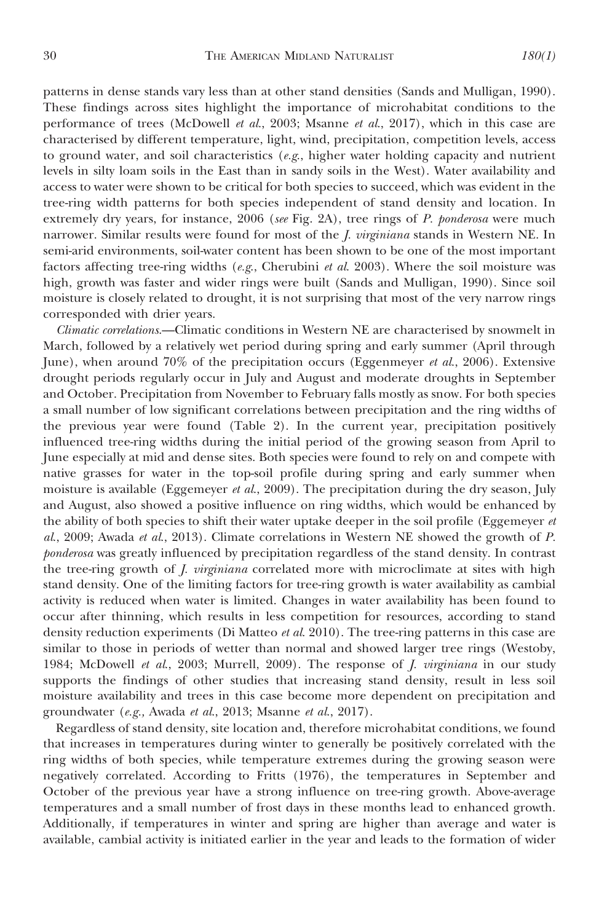patterns in dense stands vary less than at other stand densities (Sands and Mulligan, 1990). These findings across sites highlight the importance of microhabitat conditions to the performance of trees (McDowell et al., 2003; Msanne et al., 2017), which in this case are characterised by different temperature, light, wind, precipitation, competition levels, access to ground water, and soil characteristics  $(e.g.,$  higher water holding capacity and nutrient levels in silty loam soils in the East than in sandy soils in the West). Water availability and access to water were shown to be critical for both species to succeed, which was evident in the tree-ring width patterns for both species independent of stand density and location. In extremely dry years, for instance, 2006 (see Fig. 2A), tree rings of P. ponderosa were much narrower. Similar results were found for most of the *J. virginiana* stands in Western NE. In semi-arid environments, soil-water content has been shown to be one of the most important factors affecting tree-ring widths (e.g., Cherubini et al. 2003). Where the soil moisture was high, growth was faster and wider rings were built (Sands and Mulligan, 1990). Since soil moisture is closely related to drought, it is not surprising that most of the very narrow rings corresponded with drier years.

Climatic correlations.—Climatic conditions in Western NE are characterised by snowmelt in March, followed by a relatively wet period during spring and early summer (April through June), when around 70% of the precipitation occurs (Eggenmeyer et al., 2006). Extensive drought periods regularly occur in July and August and moderate droughts in September and October. Precipitation from November to February falls mostly as snow. For both species a small number of low significant correlations between precipitation and the ring widths of the previous year were found (Table 2). In the current year, precipitation positively influenced tree-ring widths during the initial period of the growing season from April to June especially at mid and dense sites. Both species were found to rely on and compete with native grasses for water in the top-soil profile during spring and early summer when moisture is available (Eggemeyer et al., 2009). The precipitation during the dry season, July and August, also showed a positive influence on ring widths, which would be enhanced by the ability of both species to shift their water uptake deeper in the soil profile (Eggemeyer  $et$ al., 2009; Awada et al., 2013). Climate correlations in Western NE showed the growth of P. ponderosa was greatly influenced by precipitation regardless of the stand density. In contrast the tree-ring growth of J. virginiana correlated more with microclimate at sites with high stand density. One of the limiting factors for tree-ring growth is water availability as cambial activity is reduced when water is limited. Changes in water availability has been found to occur after thinning, which results in less competition for resources, according to stand density reduction experiments (Di Matteo *et al.* 2010). The tree-ring patterns in this case are similar to those in periods of wetter than normal and showed larger tree rings (Westoby, 1984; McDowell et al., 2003; Murrell, 2009). The response of *J. virginiana* in our study supports the findings of other studies that increasing stand density, result in less soil moisture availability and trees in this case become more dependent on precipitation and groundwater (e.g., Awada et al., 2013; Msanne et al., 2017).

Regardless of stand density, site location and, therefore microhabitat conditions, we found that increases in temperatures during winter to generally be positively correlated with the ring widths of both species, while temperature extremes during the growing season were negatively correlated. According to Fritts (1976), the temperatures in September and October of the previous year have a strong influence on tree-ring growth. Above-average temperatures and a small number of frost days in these months lead to enhanced growth. Additionally, if temperatures in winter and spring are higher than average and water is available, cambial activity is initiated earlier in the year and leads to the formation of wider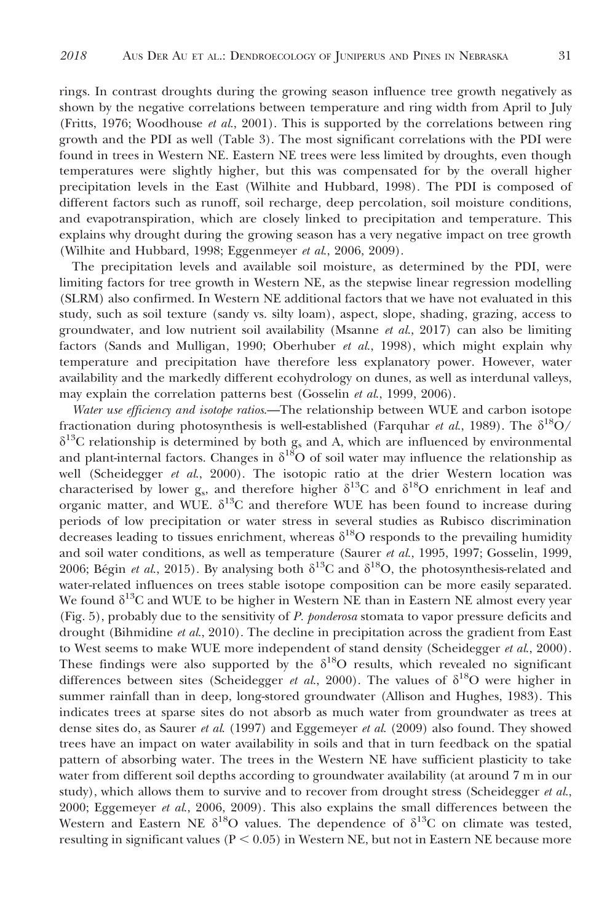rings. In contrast droughts during the growing season influence tree growth negatively as shown by the negative correlations between temperature and ring width from April to July (Fritts, 1976; Woodhouse et al., 2001). This is supported by the correlations between ring growth and the PDI as well (Table 3). The most significant correlations with the PDI were found in trees in Western NE. Eastern NE trees were less limited by droughts, even though temperatures were slightly higher, but this was compensated for by the overall higher precipitation levels in the East (Wilhite and Hubbard, 1998). The PDI is composed of different factors such as runoff, soil recharge, deep percolation, soil moisture conditions, and evapotranspiration, which are closely linked to precipitation and temperature. This explains why drought during the growing season has a very negative impact on tree growth (Wilhite and Hubbard, 1998; Eggenmeyer et al., 2006, 2009).

The precipitation levels and available soil moisture, as determined by the PDI, were limiting factors for tree growth in Western NE, as the stepwise linear regression modelling (SLRM) also confirmed. In Western NE additional factors that we have not evaluated in this study, such as soil texture (sandy vs. silty loam), aspect, slope, shading, grazing, access to groundwater, and low nutrient soil availability (Msanne et al., 2017) can also be limiting factors (Sands and Mulligan, 1990; Oberhuber et al., 1998), which might explain why temperature and precipitation have therefore less explanatory power. However, water availability and the markedly different ecohydrology on dunes, as well as interdunal valleys, may explain the correlation patterns best (Gosselin et al., 1999, 2006).

Water use efficiency and isotope ratios.—The relationship between WUE and carbon isotope fractionation during photosynthesis is well-established (Farquhar *et al.*, 1989). The  $\delta^{18}O/$  $\delta^{13}$ C relationship is determined by both g<sub>s</sub> and A, which are influenced by environmental and plant-internal factors. Changes in  $\delta^{18}O$  of soil water may influence the relationship as well (Scheidegger et al., 2000). The isotopic ratio at the drier Western location was characterised by lower  $g_s$ , and therefore higher  $\delta^{13}C$  and  $\delta^{18}O$  enrichment in leaf and organic matter, and WUE.  $\delta^{13}C$  and therefore WUE has been found to increase during periods of low precipitation or water stress in several studies as Rubisco discrimination decreases leading to tissues enrichment, whereas  $\delta^{18}O$  responds to the prevailing humidity and soil water conditions, as well as temperature (Saurer et al., 1995, 1997; Gosselin, 1999, 2006; Bégin et al., 2015). By analysing both  $\delta^{13}$ C and  $\delta^{18}$ O, the photosynthesis-related and water-related influences on trees stable isotope composition can be more easily separated. We found  $\delta^{13}C$  and WUE to be higher in Western NE than in Eastern NE almost every year (Fig. 5), probably due to the sensitivity of P. ponderosa stomata to vapor pressure deficits and drought (Bihmidine et al., 2010). The decline in precipitation across the gradient from East to West seems to make WUE more independent of stand density (Scheidegger et al., 2000). These findings were also supported by the  $\delta^{18}O$  results, which revealed no significant differences between sites (Scheidegger *et al.*, 2000). The values of  $\delta^{18}O$  were higher in summer rainfall than in deep, long-stored groundwater (Allison and Hughes, 1983). This indicates trees at sparse sites do not absorb as much water from groundwater as trees at dense sites do, as Saurer et al. (1997) and Eggemeyer et al. (2009) also found. They showed trees have an impact on water availability in soils and that in turn feedback on the spatial pattern of absorbing water. The trees in the Western NE have sufficient plasticity to take water from different soil depths according to groundwater availability (at around 7 m in our study), which allows them to survive and to recover from drought stress (Scheidegger et al., 2000; Eggemeyer et al., 2006, 2009). This also explains the small differences between the Western and Eastern NE  $\delta^{18}O$  values. The dependence of  $\delta^{13}O$  on climate was tested, resulting in significant values ( $P < 0.05$ ) in Western NE, but not in Eastern NE because more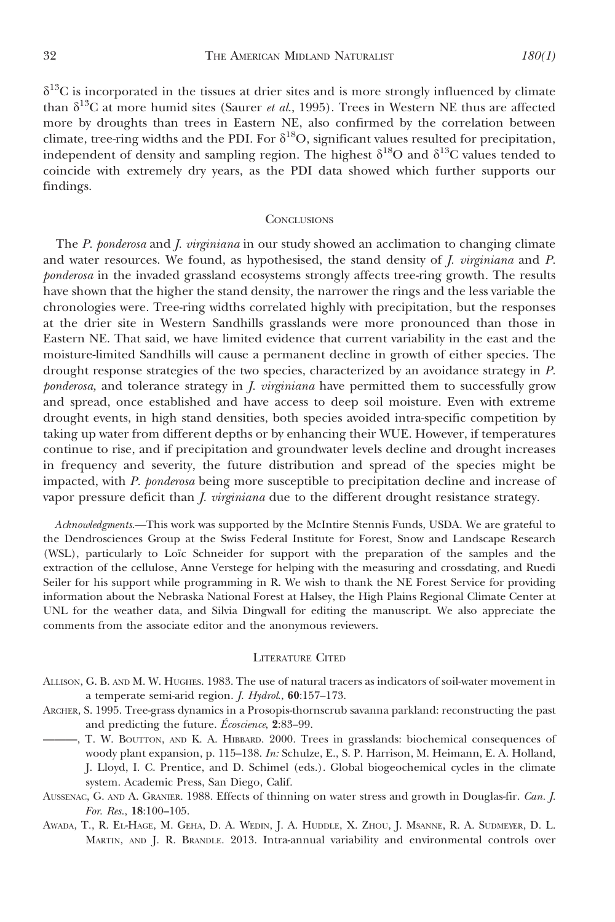$\delta^{13}$ C is incorporated in the tissues at drier sites and is more strongly influenced by climate than  $\delta^{13}$ C at more humid sites (Saurer et al., 1995). Trees in Western NE thus are affected more by droughts than trees in Eastern NE, also confirmed by the correlation between climate, tree-ring widths and the PDI. For  $\delta^{18}O$ , significant values resulted for precipitation, independent of density and sampling region. The highest  $\delta^{18}O$  and  $\delta^{13}C$  values tended to coincide with extremely dry years, as the PDI data showed which further supports our findings.

#### **CONCLUSIONS**

The P. ponderosa and *J. virginiana* in our study showed an acclimation to changing climate and water resources. We found, as hypothesised, the stand density of J. virginiana and P. ponderosa in the invaded grassland ecosystems strongly affects tree-ring growth. The results have shown that the higher the stand density, the narrower the rings and the less variable the chronologies were. Tree-ring widths correlated highly with precipitation, but the responses at the drier site in Western Sandhills grasslands were more pronounced than those in Eastern NE. That said, we have limited evidence that current variability in the east and the moisture-limited Sandhills will cause a permanent decline in growth of either species. The drought response strategies of the two species, characterized by an avoidance strategy in P. ponderosa, and tolerance strategy in *J. virginiana* have permitted them to successfully grow and spread, once established and have access to deep soil moisture. Even with extreme drought events, in high stand densities, both species avoided intra-specific competition by taking up water from different depths or by enhancing their WUE. However, if temperatures continue to rise, and if precipitation and groundwater levels decline and drought increases in frequency and severity, the future distribution and spread of the species might be impacted, with P. ponderosa being more susceptible to precipitation decline and increase of vapor pressure deficit than *J. virginiana* due to the different drought resistance strategy.

Acknowledgments.—This work was supported by the McIntire Stennis Funds, USDA. We are grateful to the Dendrosciences Group at the Swiss Federal Institute for Forest, Snow and Landscape Research (WSL), particularly to Loïc Schneider for support with the preparation of the samples and the extraction of the cellulose, Anne Verstege for helping with the measuring and crossdating, and Ruedi Seiler for his support while programming in R. We wish to thank the NE Forest Service for providing information about the Nebraska National Forest at Halsey, the High Plains Regional Climate Center at UNL for the weather data, and Silvia Dingwall for editing the manuscript. We also appreciate the comments from the associate editor and the anonymous reviewers.

#### LITERATURE CITED

- ALLISON, G. B. AND M. W. HUGHES. 1983. The use of natural tracers as indicators of soil-water movement in a temperate semi-arid region. J. Hydrol., 60:157–173.
- ARCHER, S. 1995. Tree-grass dynamics in a Prosopis-thornscrub savanna parkland: reconstructing the past and predicting the future.  $Écoscience$ ,  $2:83-99$ .
- ———, T. W. BOUTTON, AND K. A. HIBBARD. 2000. Trees in grasslands: biochemical consequences of woody plant expansion, p. 115–138. In: Schulze, E., S. P. Harrison, M. Heimann, E. A. Holland, J. Lloyd, I. C. Prentice, and D. Schimel (eds.). Global biogeochemical cycles in the climate system. Academic Press, San Diego, Calif.
- AUSSENAC, G. AND A. GRANIER. 1988. Effects of thinning on water stress and growth in Douglas-fir. Can. J. For. Res., 18:100–105.
- AWADA, T., R. EL-HAGE, M. GEHA, D. A. WEDIN, J. A. HUDDLE, X. ZHOU, J. MSANNE, R. A. SUDMEYER, D. L. MARTIN, AND J. R. BRANDLE. 2013. Intra-annual variability and environmental controls over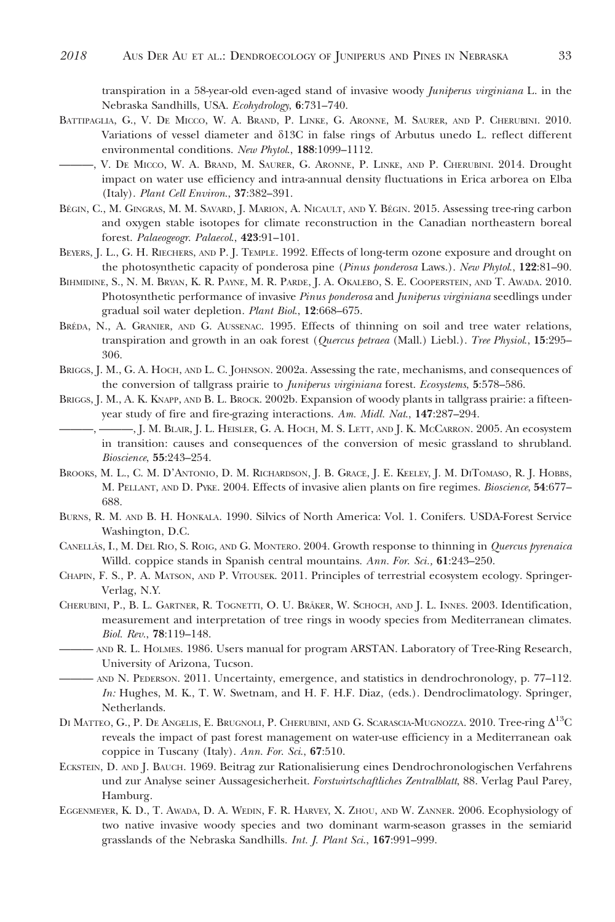transpiration in a 58-year-old even-aged stand of invasive woody *Juniperus virginiana* L. in the Nebraska Sandhills, USA. Ecohydrology, 6:731–740.

- BATTIPAGLIA, G., V. DE MICCO, W. A. BRAND, P. LINKE, G. ARONNE, M. SAURER, AND P. CHERUBINI. 2010. Variations of vessel diameter and d13C in false rings of Arbutus unedo L. reflect different environmental conditions. New Phytol., 188:1099–1112.
- ———, V. DE MICCO, W. A. BRAND, M. SAURER, G. ARONNE, P. LINKE, AND P. CHERUBINI. 2014. Drought impact on water use efficiency and intra-annual density fluctuations in Erica arborea on Elba (Italy). Plant Cell Environ., 37:382–391.
- BÉGIN, C., M. GINGRAS, M. M. SAVARD, J. MARION, A. NICAULT, AND Y. BÉGIN. 2015. Assessing tree-ring carbon and oxygen stable isotopes for climate reconstruction in the Canadian northeastern boreal forest. Palaeogeogr. Palaecol., 423:91-101.
- BEYERS, J. L., G. H. RIECHERS, AND P. J. TEMPLE. 1992. Effects of long-term ozone exposure and drought on the photosynthetic capacity of ponderosa pine (Pinus ponderosa Laws.). New Phytol., 122:81-90.
- BIHMIDINE, S., N. M. BRYAN, K. R. PAYNE, M. R. PARDE, J. A. OKALEBO, S. E. COOPERSTEIN, AND T. AWADA. 2010. Photosynthetic performance of invasive Pinus ponderosa and Juniperus virginiana seedlings under gradual soil water depletion. Plant Biol., 12:668–675.
- BRÉDA, N., A. GRANIER, AND G. AUSSENAC. 1995. Effects of thinning on soil and tree water relations, transpiration and growth in an oak forest (Quercus petraea (Mall.) Liebl.). Tree Physiol., 15:295– 306.
- BRIGGS, J. M., G. A. HOCH, AND L. C. JOHNSON. 2002a. Assessing the rate, mechanisms, and consequences of the conversion of tallgrass prairie to Juniperus virginiana forest. Ecosystems, 5:578–586.
- BRIGGS, J. M., A. K. KNAPP, AND B. L. BROCK. 2002b. Expansion of woody plants in tallgrass prairie: a fifteenyear study of fire and fire-grazing interactions. Am. Midl. Nat., 147:287–294.
	- ———, ———, J. M. BLAIR, J. L. HEISLER, G. A. HOCH, M. S. LETT, AND J. K. MCCARRON. 2005. An ecosystem in transition: causes and consequences of the conversion of mesic grassland to shrubland. Bioscience, 55:243–254.
- BROOKS, M. L., C. M. D'ANTONIO, D. M. RICHARDSON, J. B. GRACE, J. E. KEELEY, J. M. DITOMASO, R. J. HOBBS, M. PELLANT, AND D. PYKE. 2004. Effects of invasive alien plants on fire regimes. Bioscience, 54:677– 688.
- BURNS, R. M. AND B. H. HONKALA. 1990. Silvics of North America: Vol. 1. Conifers. USDA-Forest Service Washington, D.C.
- CANELLÃS, I., M. DEL RIO, S. ROIG, AND G. MONTERO. 2004. Growth response to thinning in Quercus pyrenaica Willd. coppice stands in Spanish central mountains. Ann. For. Sci., 61:243–250.
- CHAPIN, F. S., P. A. MATSON, AND P. VITOUSEK. 2011. Principles of terrestrial ecosystem ecology. Springer-Verlag, N.Y.
- CHERUBINI, P., B. L. GARTNER, R. TOGNETTI, O. U. BRÄKER, W. SCHOCH, AND J. L. INNES. 2003. Identification, measurement and interpretation of tree rings in woody species from Mediterranean climates. Biol. Rev., 78:119–148.
- ——— AND R. L. HOLMES. 1986. Users manual for program ARSTAN. Laboratory of Tree-Ring Research, University of Arizona, Tucson.
- ——— AND N. PEDERSON. 2011. Uncertainty, emergence, and statistics in dendrochronology, p. 77–112. In: Hughes, M. K., T. W. Swetnam, and H. F. H.F. Diaz, (eds.). Dendroclimatology. Springer, Netherlands.
- DI MATTEO, G., P. DE ANGELIS, E. BRUGNOLI, P. CHERUBINI, AND G. SCARASCIA-MUGNOZZA. 2010. Tree-ring  $\Delta^{13}C$ reveals the impact of past forest management on water-use efficiency in a Mediterranean oak coppice in Tuscany (Italy). Ann. For. Sci., 67:510.
- ECKSTEIN, D. AND J. BAUCH. 1969. Beitrag zur Rationalisierung eines Dendrochronologischen Verfahrens und zur Analyse seiner Aussagesicherheit. Forstwirtschaftliches Zentralblatt, 88. Verlag Paul Parey, Hamburg.
- EGGENMEYER, K. D., T. AWADA, D. A. WEDIN, F. R. HARVEY, X. ZHOU, AND W. ZANNER. 2006. Ecophysiology of two native invasive woody species and two dominant warm-season grasses in the semiarid grasslands of the Nebraska Sandhills. Int. J. Plant Sci., 167:991–999.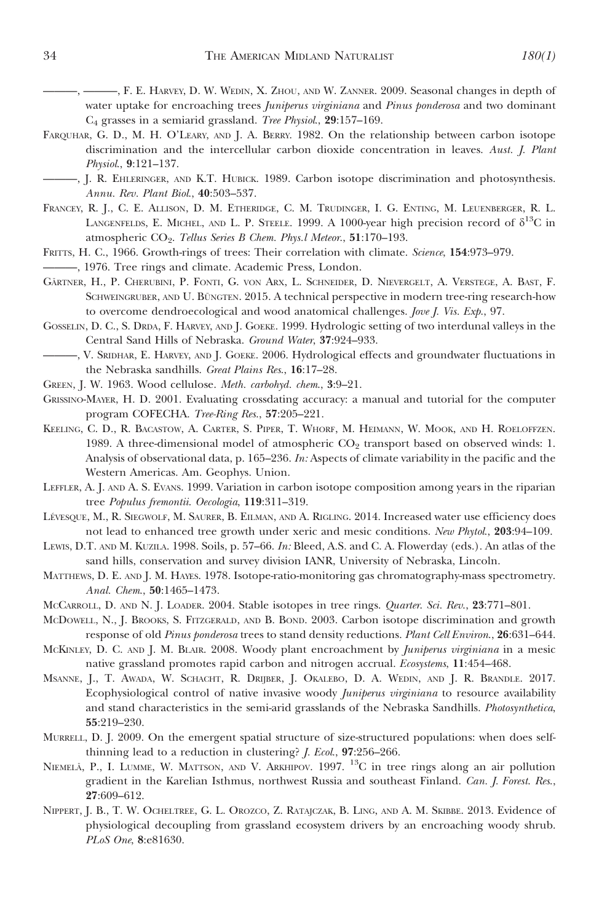———, ———, F. E. HARVEY, D. W. WEDIN, X. ZHOU, AND W. ZANNER. 2009. Seasonal changes in depth of water uptake for encroaching trees Juniperus virginiana and Pinus ponderosa and two dominant C4 grasses in a semiarid grassland. Tree Physiol., 29:157–169.

- FARQUHAR, G. D., M. H. O'LEARY, AND J. A. BERRY. 1982. On the relationship between carbon isotope discrimination and the intercellular carbon dioxide concentration in leaves. Aust. J. Plant Physiol., 9:121–137.
- ———, J. R. EHLERINGER, AND K.T. HUBICK. 1989. Carbon isotope discrimination and photosynthesis. Annu. Rev. Plant Biol., 40:503–537.
- FRANCEY, R. J., C. E. ALLISON, D. M. ETHERIDGE, C. M. TRUDINGER, I. G. ENTING, M. LEUENBERGER, R. L. LANGENFELDS, E. MICHEL, AND L. P. STEELE. 1999. A 1000-year high precision record of  $\delta^{13}C$  in atmospheric CO<sub>2</sub>. Tellus Series B Chem. Phys.l Meteor., 51:170-193.
- FRITTS, H. C., 1966. Growth-rings of trees: Their correlation with climate. Science, 154:973–979.
- ———, 1976. Tree rings and climate. Academic Press, London.
- GÄRTNER, H., P. CHERUBINI, P. FONTI, G. VON ARX, L. SCHNEIDER, D. NIEVERGELT, A. VERSTEGE, A. BAST, F. SCHWEINGRUBER, AND U. BUNGTEN. 2015. A technical perspective in modern tree-ring research-how to overcome dendroecological and wood anatomical challenges. Jove J. Vis. Exp., 97.
- GOSSELIN, D. C., S. DRDA, F. HARVEY, AND J. GOEKE. 1999. Hydrologic setting of two interdunal valleys in the Central Sand Hills of Nebraska. Ground Water, 37:924–933.
- ———, V. SRIDHAR, E. HARVEY, AND J. GOEKE. 2006. Hydrological effects and groundwater fluctuations in the Nebraska sandhills. Great Plains Res., 16:17–28.
- GREEN, J. W. 1963. Wood cellulose. Meth. carbohyd. chem., 3:9–21.
- GRISSINO-MAYER, H. D. 2001. Evaluating crossdating accuracy: a manual and tutorial for the computer program COFECHA. Tree-Ring Res., 57:205–221.
- KEELING, C. D., R. BACASTOW, A. CARTER, S. PIPER, T. WHORF, M. HEIMANN, W. MOOK, AND H. ROELOFFZEN. 1989. A three-dimensional model of atmospheric  $CO<sub>2</sub>$  transport based on observed winds: 1. Analysis of observational data, p. 165–236. In: Aspects of climate variability in the pacific and the Western Americas. Am. Geophys. Union.
- LEFFLER, A. J. AND A. S. EVANS. 1999. Variation in carbon isotope composition among years in the riparian tree Populus fremontii. Oecologia, 119:311–319.
- LÉVESQUE, M., R. SIEGWOLF, M. SAURER, B. EILMAN, AND A. RIGLING. 2014. Increased water use efficiency does not lead to enhanced tree growth under xeric and mesic conditions. New Phytol., 203:94–109.
- LEWIS, D.T. AND M. KUZILA. 1998. Soils, p. 57–66. In: Bleed, A.S. and C. A. Flowerday (eds.). An atlas of the sand hills, conservation and survey division IANR, University of Nebraska, Lincoln.
- MATTHEWS, D. E. AND J. M. HAYES. 1978. Isotope-ratio-monitoring gas chromatography-mass spectrometry. Anal. Chem., 50:1465–1473.
- McCARROLL, D. AND N. J. LOADER. 2004. Stable isotopes in tree rings. *Quarter. Sci. Rev.*, 23:771–801.
- MCDOWELL, N., J. BROOKS, S. FITZGERALD, AND B. BOND. 2003. Carbon isotope discrimination and growth response of old Pinus ponderosa trees to stand density reductions. Plant Cell Environ., 26:631-644.
- MCKINLEY, D. C. AND J. M. BLAIR. 2008. Woody plant encroachment by Juniperus virginiana in a mesic native grassland promotes rapid carbon and nitrogen accrual. Ecosystems, 11:454–468.
- MSANNE, J., T. AWADA, W. SCHACHT, R. DRIJBER, J. OKALEBO, D. A. WEDIN, AND J. R. BRANDLE. 2017. Ecophysiological control of native invasive woody Juniperus virginiana to resource availability and stand characteristics in the semi-arid grasslands of the Nebraska Sandhills. Photosynthetica, 55:219–230.
- MURRELL, D. J. 2009. On the emergent spatial structure of size-structured populations: when does selfthinning lead to a reduction in clustering? J. Ecol., 97:256–266.
- NIEMELA, P., I. LUMME, W. MATTSON, AND V. ARKHIPOV. 1997. <sup>13</sup>C in tree rings along an air pollution gradient in the Karelian Isthmus, northwest Russia and southeast Finland. Can. J. Forest. Res., 27:609–612.
- NIPPERT, J. B., T. W. OCHELTREE, G. L. OROZCO, Z. RATAJCZAK, B. LING, AND A. M. SKIBBE. 2013. Evidence of physiological decoupling from grassland ecosystem drivers by an encroaching woody shrub. PLoS One, 8:e81630.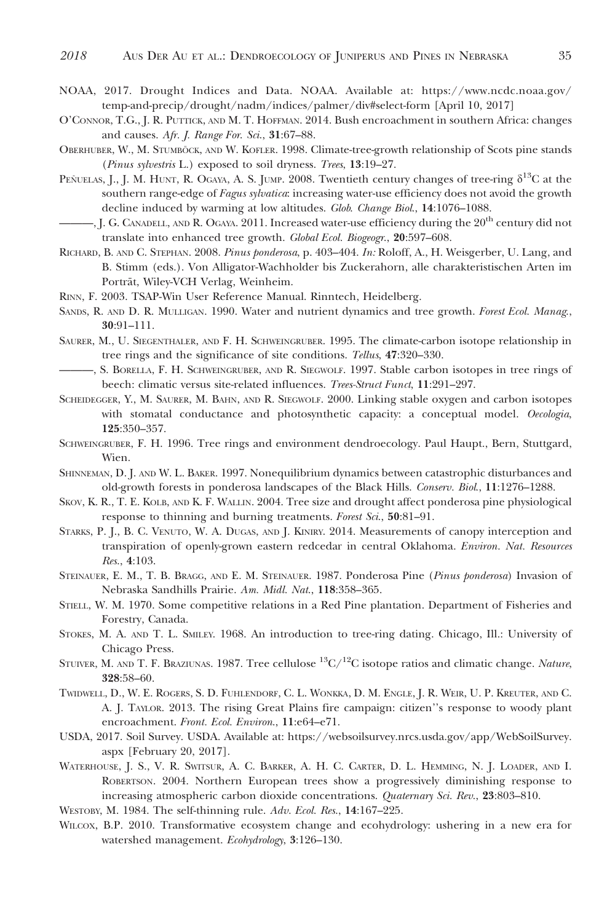- NOAA, 2017. Drought Indices and Data. NOAA. Available at: https://www.ncdc.noaa.gov/ temp-and-precip/drought/nadm/indices/palmer/div#select-form [April 10, 2017]
- O'CONNOR, T.G., J. R. PUTTICK, AND M. T. HOFFMAN. 2014. Bush encroachment in southern Africa: changes and causes. Afr. J. Range For. Sci., 31:67–88.
- OBERHUBER, W., M. STUMBÖCK, AND W. KOFLER. 1998. Climate-tree-growth relationship of Scots pine stands (Pinus sylvestris L.) exposed to soil dryness. Trees, 13:19–27.
- PEÑUELAS, J., J. M. HUNT, R. OGAYA, A. S. JUMP. 2008. Twentieth century changes of tree-ring  $\delta^{13}C$  at the southern range-edge of Fagus sylvatica: increasing water-use efficiency does not avoid the growth decline induced by warming at low altitudes. Glob. Change Biol., 14:1076–1088.
- —, J. G. CANADELL, AND R. OGAYA. 2011. Increased water-use efficiency during the  $20^{th}$  century did not translate into enhanced tree growth. Global Ecol. Biogeogr., 20:597–608.
- RICHARD, B. AND C. STEPHAN. 2008. Pinus ponderosa, p. 403–404. In: Roloff, A., H. Weisgerber, U. Lang, and B. Stimm (eds.). Von Alligator-Wachholder bis Zuckerahorn, alle charakteristischen Arten im Porträt, Wiley-VCH Verlag, Weinheim.
- RINN, F. 2003. TSAP-Win User Reference Manual. Rinntech, Heidelberg.
- SANDS, R. AND D. R. MULLIGAN. 1990. Water and nutrient dynamics and tree growth. Forest Ecol. Manag., 30:91–111.
- SAURER, M., U. SIEGENTHALER, AND F. H. SCHWEINGRUBER. 1995. The climate-carbon isotope relationship in tree rings and the significance of site conditions. Tellus, 47:320–330.
- ———, S. BORELLA, F. H. SCHWEINGRUBER, AND R. SIEGWOLF. 1997. Stable carbon isotopes in tree rings of beech: climatic versus site-related influences. Trees-Struct Funct, 11:291–297.
- SCHEIDEGGER, Y., M. SAURER, M. BAHN, AND R. SIEGWOLF. 2000. Linking stable oxygen and carbon isotopes with stomatal conductance and photosynthetic capacity: a conceptual model. Oecologia, 125:350–357.
- SCHWEINGRUBER, F. H. 1996. Tree rings and environment dendroecology. Paul Haupt., Bern, Stuttgard, Wien.
- SHINNEMAN, D. J. AND W. L. BAKER. 1997. Nonequilibrium dynamics between catastrophic disturbances and old-growth forests in ponderosa landscapes of the Black Hills. Conserv. Biol., 11:1276–1288.
- SKOV, K. R., T. E. KOLB, AND K. F. WALLIN. 2004. Tree size and drought affect ponderosa pine physiological response to thinning and burning treatments. Forest Sci., 50:81–91.
- STARKS, P. J., B. C. VENUTO, W. A. DUGAS, AND J. KINIRY. 2014. Measurements of canopy interception and transpiration of openly-grown eastern redcedar in central Oklahoma. Environ. Nat. Resources Res., 4:103.
- STEINAUER, E. M., T. B. BRAGG, AND E. M. STEINAUER. 1987. Ponderosa Pine (Pinus ponderosa) Invasion of Nebraska Sandhills Prairie. Am. Midl. Nat., 118:358–365.
- STIELL, W. M. 1970. Some competitive relations in a Red Pine plantation. Department of Fisheries and Forestry, Canada.
- STOKES, M. A. AND T. L. SMILEY. 1968. An introduction to tree-ring dating. Chicago, Ill.: University of Chicago Press.
- STUIVER, M. AND T. F. BRAZIUNAS. 1987. Tree cellulose  ${}^{13}C/{}^{12}C$  isotope ratios and climatic change. Nature, 328:58–60.
- TWIDWELL, D., W. E. ROGERS, S. D. FUHLENDORF, C. L. WONKKA, D. M. ENGLE, J. R. WEIR, U. P. KREUTER, AND C. A. J. TAYLOR. 2013. The rising Great Plains fire campaign: citizen''s response to woody plant encroachment. Front. Ecol. Environ., 11:e64–e71.
- USDA, 2017. Soil Survey. USDA. Available at: https://websoilsurvey.nrcs.usda.gov/app/WebSoilSurvey. aspx [February 20, 2017].
- WATERHOUSE, J. S., V. R. SWITSUR, A. C. BARKER, A. H. C. CARTER, D. L. HEMMING, N. J. LOADER, AND I. ROBERTSON. 2004. Northern European trees show a progressively diminishing response to increasing atmospheric carbon dioxide concentrations. Quaternary Sci. Rev., 23:803–810.
- WESTOBY, M. 1984. The self-thinning rule. Adv. Ecol. Res., 14:167-225.
- WILCOX, B.P. 2010. Transformative ecosystem change and ecohydrology: ushering in a new era for watershed management. Ecohydrology, 3:126–130.